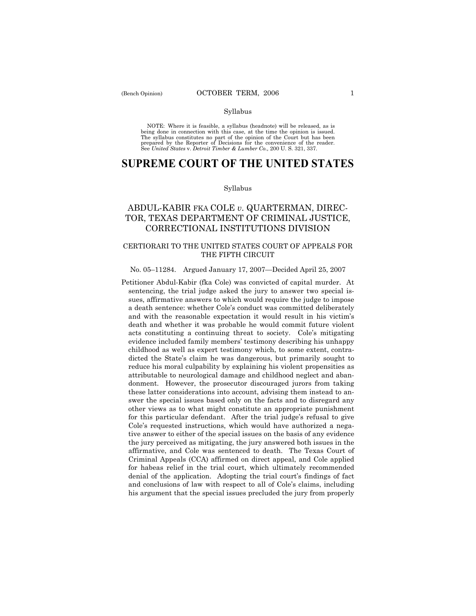NOTE: Where it is feasible, a syllabus (headnote) will be released, as is being done in connection with this case, at the time the opinion is issued. The syllabus constitutes no part of the opinion of the Court but has been<br>prepared by the Reporter of Decisions for the convenience of the reader.<br>See United States v. Detroit Timber & Lumber Co., 200 U. S. 321, 337.

# **SUPREME COURT OF THE UNITED STATES**

#### Syllabus

## ABDUL-KABIR FKA COLE *v*. QUARTERMAN, DIREC-TOR, TEXAS DEPARTMENT OF CRIMINAL JUSTICE, CORRECTIONAL INSTITUTIONS DIVISION

### CERTIORARI TO THE UNITED STATES COURT OF APPEALS FOR THE FIFTH CIRCUIT

### No. 05-11284. Argued January 17, 2007–Decided April 25, 2007

Petitioner Abdul-Kabir (fka Cole) was convicted of capital murder. At sentencing, the trial judge asked the jury to answer two special issues, affirmative answers to which would require the judge to impose a death sentence: whether Coleís conduct was committed deliberately and with the reasonable expectation it would result in his victim's death and whether it was probable he would commit future violent acts constituting a continuing threat to society. Cole's mitigating evidence included family members' testimony describing his unhappy childhood as well as expert testimony which, to some extent, contradicted the Stateís claim he was dangerous, but primarily sought to reduce his moral culpability by explaining his violent propensities as attributable to neurological damage and childhood neglect and abandonment. However, the prosecutor discouraged jurors from taking these latter considerations into account, advising them instead to answer the special issues based only on the facts and to disregard any other views as to what might constitute an appropriate punishment for this particular defendant. After the trial judge's refusal to give Cole's requested instructions, which would have authorized a negative answer to either of the special issues on the basis of any evidence the jury perceived as mitigating, the jury answered both issues in the affirmative, and Cole was sentenced to death. The Texas Court of Criminal Appeals (CCA) affirmed on direct appeal, and Cole applied for habeas relief in the trial court, which ultimately recommended denial of the application. Adopting the trial court's findings of fact and conclusions of law with respect to all of Cole's claims, including his argument that the special issues precluded the jury from properly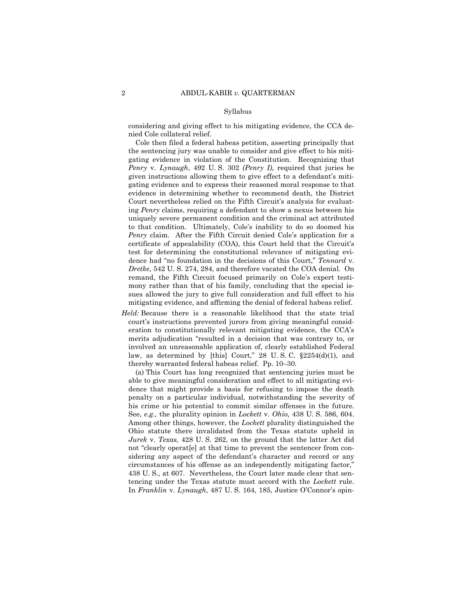considering and giving effect to his mitigating evidence, the CCA denied Cole collateral relief.

 Cole then filed a federal habeas petition, asserting principally that the sentencing jury was unable to consider and give effect to his mitigating evidence in violation of the Constitution. Recognizing that *Penry* v. *Lynaugh*, 492 U. S. 302 *(Penry I),* required that juries be given instructions allowing them to give effect to a defendant's mitigating evidence and to express their reasoned moral response to that evidence in determining whether to recommend death, the District Court nevertheless relied on the Fifth Circuit's analysis for evaluating *Penry* claims, requiring a defendant to show a nexus between his uniquely severe permanent condition and the criminal act attributed to that condition. Ultimately, Cole's inability to do so doomed his *Penry* claim. After the Fifth Circuit denied Cole's application for a certificate of appealability (COA), this Court held that the Circuit's test for determining the constitutional relevance of mitigating evidence had "no foundation in the decisions of this Court," *Tennard* v. *Dretke,* 542 U. S. 274, 284, and therefore vacated the COA denial. On remand, the Fifth Circuit focused primarily on Cole's expert testimony rather than that of his family, concluding that the special issues allowed the jury to give full consideration and full effect to his mitigating evidence, and affirming the denial of federal habeas relief.

*Held:* Because there is a reasonable likelihood that the state trial court's instructions prevented jurors from giving meaningful consideration to constitutionally relevant mitigating evidence, the CCA's merits adjudication "resulted in a decision that was contrary to, or involved an unreasonable application of, clearly established Federal law, as determined by [this] Court,"  $28$  U.S.C.  $\S 2254(d)(1)$ , and thereby warranted federal habeas relief. Pp. 10-30.

 (a) This Court has long recognized that sentencing juries must be able to give meaningful consideration and effect to all mitigating evidence that might provide a basis for refusing to impose the death penalty on a particular individual, notwithstanding the severity of his crime or his potential to commit similar offenses in the future. See, *e.g.,* the plurality opinion in *Lockett* v. *Ohio,* 438 U. S. 586, 604. Among other things, however, the *Lockett* plurality distinguished the Ohio statute there invalidated from the Texas statute upheld in *Jurek* v. *Texas,* 428 U. S. 262, on the ground that the latter Act did not "clearly operat[e] at that time to prevent the sentencer from considering any aspect of the defendant's character and record or any circumstances of his offense as an independently mitigating factor," 438 U. S., at 607. Nevertheless, the Court later made clear that sentencing under the Texas statute must accord with the *Lockett* rule. In *Franklin* v. *Lynaugh*, 487 U. S. 164, 185, Justice O'Connor's opin-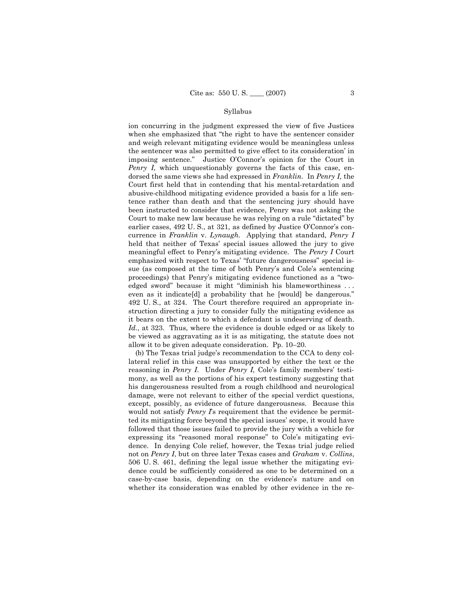ion concurring in the judgment expressed the view of five Justices when she emphasized that "the right to have the sentencer consider and weigh relevant mitigating evidence would be meaningless unless the sentencer was also permitted to give effect to its consideration' in imposing sentence." Justice O'Connor's opinion for the Court in *Penry I,* which unquestionably governs the facts of this case, endorsed the same views she had expressed in *Franklin.* In *Penry I,* the Court first held that in contending that his mental-retardation and abusive-childhood mitigating evidence provided a basis for a life sentence rather than death and that the sentencing jury should have been instructed to consider that evidence, Penry was not asking the Court to make new law because he was relying on a rule "dictated" by earlier cases,  $492$  U. S., at  $321$ , as defined by Justice O'Connor's concurrence in *Franklin* v. *Lynaugh.* Applying that standard, *Penry I* held that neither of Texas' special issues allowed the jury to give meaningful effect to Penryís mitigating evidence. The *Penry I* Court emphasized with respect to Texas' "future dangerousness" special issue (as composed at the time of both Penry's and Cole's sentencing proceedings) that Penry's mitigating evidence functioned as a "twoedged sword" because it might "diminish his blameworthiness  $\dots$ even as it indicate $[d]$  a probability that he [would] be dangerous." 492 U. S., at 324. The Court therefore required an appropriate instruction directing a jury to consider fully the mitigating evidence as it bears on the extent to which a defendant is undeserving of death. *Id.*, at 323. Thus, where the evidence is double edged or as likely to be viewed as aggravating as it is as mitigating, the statute does not allow it to be given adequate consideration. Pp.  $10-20$ .

(b) The Texas trial judge's recommendation to the CCA to deny collateral relief in this case was unsupported by either the text or the reasoning in *Penry I*. Under *Penry I*, Cole's family members' testimony, as well as the portions of his expert testimony suggesting that his dangerousness resulted from a rough childhood and neurological damage, were not relevant to either of the special verdict questions, except, possibly, as evidence of future dangerousness. Because this would not satisfy *Penry I*'s requirement that the evidence be permitted its mitigating force beyond the special issues' scope, it would have followed that those issues failed to provide the jury with a vehicle for expressing its "reasoned moral response" to Cole's mitigating evidence. In denying Cole relief, however, the Texas trial judge relied not on *Penry I*, but on three later Texas cases and *Graham* v. *Collins*, 506 U. S. 461, defining the legal issue whether the mitigating evidence could be sufficiently considered as one to be determined on a case-by-case basis, depending on the evidence's nature and on whether its consideration was enabled by other evidence in the re-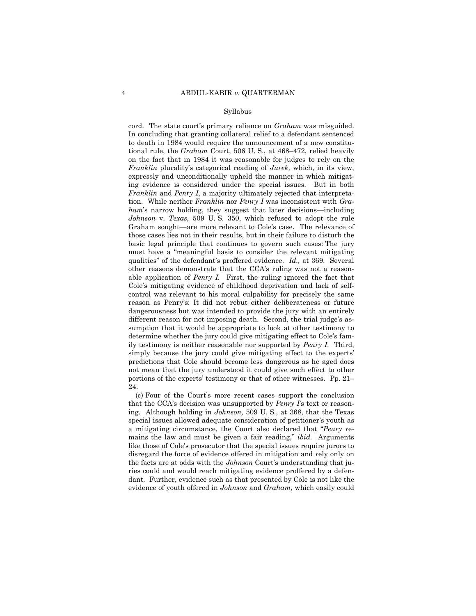cord. The state court's primary reliance on *Graham* was misguided. In concluding that granting collateral relief to a defendant sentenced to death in 1984 would require the announcement of a new constitutional rule, the *Graham* Court, 506 U.S., at 468–472, relied heavily on the fact that in 1984 it was reasonable for judges to rely on the *Franklin* pluralityís categorical reading of *Jurek,* which, in its view, expressly and unconditionally upheld the manner in which mitigating evidence is considered under the special issues. But in both *Franklin* and *Penry I*, a majority ultimately rejected that interpretation. While neither *Franklin* nor *Penry I* was inconsistent with *Graham*'s narrow holding, they suggest that later decisions—including *Johnson* v. *Texas,* 509 U. S. 350, which refused to adopt the rule Graham sought-are more relevant to Cole's case. The relevance of those cases lies not in their results, but in their failure to disturb the basic legal principle that continues to govern such cases: The jury must have a "meaningful basis to consider the relevant mitigating qualities" of the defendant's proffered evidence. *Id.*, at 369. Several other reasons demonstrate that the CCAís ruling was not a reasonable application of *Penry I.* First, the ruling ignored the fact that Cole's mitigating evidence of childhood deprivation and lack of selfcontrol was relevant to his moral culpability for precisely the same reason as Penryís: It did not rebut either deliberateness or future dangerousness but was intended to provide the jury with an entirely different reason for not imposing death. Second, the trial judge's assumption that it would be appropriate to look at other testimony to determine whether the jury could give mitigating effect to Cole's family testimony is neither reasonable nor supported by *Penry I*. Third, simply because the jury could give mitigating effect to the experts' predictions that Cole should become less dangerous as he aged does not mean that the jury understood it could give such effect to other portions of the experts' testimony or that of other witnesses. Pp.  $21-$ 24.

 (c) Four of the Courtís more recent cases support the conclusion that the CCA's decision was unsupported by *Penry I*'s text or reasoning. Although holding in *Johnson,* 509 U. S., at 368, that the Texas special issues allowed adequate consideration of petitioner's youth as a mitigating circumstance, the Court also declared that *<i>Penry* remains the law and must be given a fair reading," *ibid*. Arguments like those of Coleís prosecutor that the special issues require jurors to disregard the force of evidence offered in mitigation and rely only on the facts are at odds with the *Johnson* Court's understanding that juries could and would reach mitigating evidence proffered by a defendant. Further, evidence such as that presented by Cole is not like the evidence of youth offered in *Johnson* and *Graham,* which easily could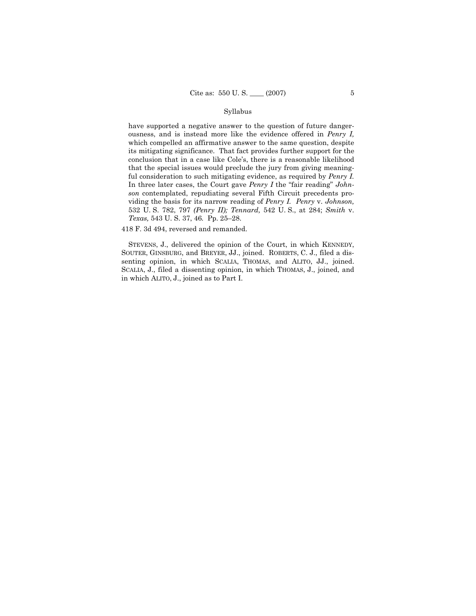have supported a negative answer to the question of future dangerousness, and is instead more like the evidence offered in *Penry I,*  which compelled an affirmative answer to the same question, despite its mitigating significance. That fact provides further support for the conclusion that in a case like Coleís, there is a reasonable likelihood that the special issues would preclude the jury from giving meaningful consideration to such mitigating evidence, as required by *Penry I.*  In three later cases, the Court gave *Penry I* the "fair reading" *Johnson* contemplated, repudiating several Fifth Circuit precedents providing the basis for its narrow reading of *Penry I. Penry* v. *Johnson,*  532 U. S. 782, 797 *(Penry II); Tennard,* 542 U. S., at 284; *Smith* v. *Texas,* 543 U. S. 37, 46. Pp. 25-28.

418 F. 3d 494, reversed and remanded.

 STEVENS, J., delivered the opinion of the Court, in which KENNEDY, SOUTER, GINSBURG, and BREYER, JJ., joined. ROBERTS, C. J., filed a dissenting opinion, in which SCALIA, THOMAS, and ALITO, JJ., joined. SCALIA, J., filed a dissenting opinion, in which THOMAS, J., joined, and in which ALITO, J., joined as to Part I.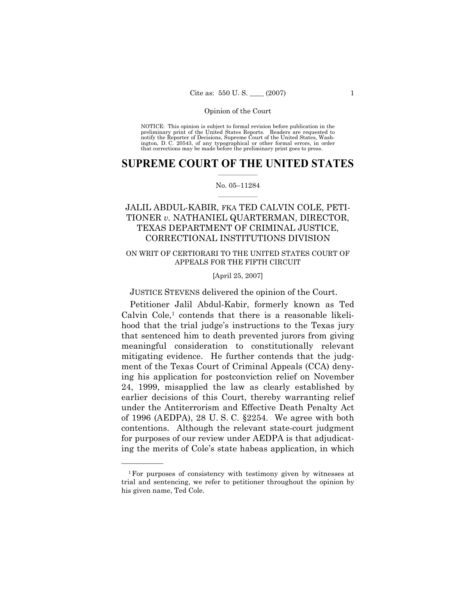NOTICE: This opinion is subject to formal revision before publication in the preliminary print of the United States Reports. Readers are requested to notify the Reporter of Decisions, Supreme Court of the United States, Washington, D. C. 20543, of any typographical or other formal errors, in order that corrections may be made before the preliminary print goes to press.

### **SUPREME COURT OF THE UNITED STATES**  $\frac{1}{2}$  ,  $\frac{1}{2}$  ,  $\frac{1}{2}$  ,  $\frac{1}{2}$  ,  $\frac{1}{2}$  ,  $\frac{1}{2}$  ,  $\frac{1}{2}$

### No. 05-11284  $\mathcal{L}=\mathcal{L}$

## JALIL ABDUL-KABIR, FKA TED CALVIN COLE, PETI-TIONER *v.* NATHANIEL QUARTERMAN, DIRECTOR, TEXAS DEPARTMENT OF CRIMINAL JUSTICE, CORRECTIONAL INSTITUTIONS DIVISION

### ON WRIT OF CERTIORARI TO THE UNITED STATES COURT OF APPEALS FOR THE FIFTH CIRCUIT

### [April 25, 2007]

JUSTICE STEVENS delivered the opinion of the Court.

 Petitioner Jalil Abdul-Kabir, formerly known as Ted  $Calvin$   $Cole<sup>1</sup>$  contends that there is a reasonable likelihood that the trial judge's instructions to the Texas jury that sentenced him to death prevented jurors from giving meaningful consideration to constitutionally relevant mitigating evidence. He further contends that the judgment of the Texas Court of Criminal Appeals (CCA) denying his application for postconviction relief on November 24, 1999, misapplied the law as clearly established by earlier decisions of this Court, thereby warranting relief under the Antiterrorism and Effective Death Penalty Act of 1996 (AEDPA), 28 U. S. C. ß2254. We agree with both contentions. Although the relevant state-court judgment for purposes of our review under AEDPA is that adjudicating the merits of Cole's state habeas application, in which

<sup>1</sup>For purposes of consistency with testimony given by witnesses at trial and sentencing, we refer to petitioner throughout the opinion by his given name, Ted Cole.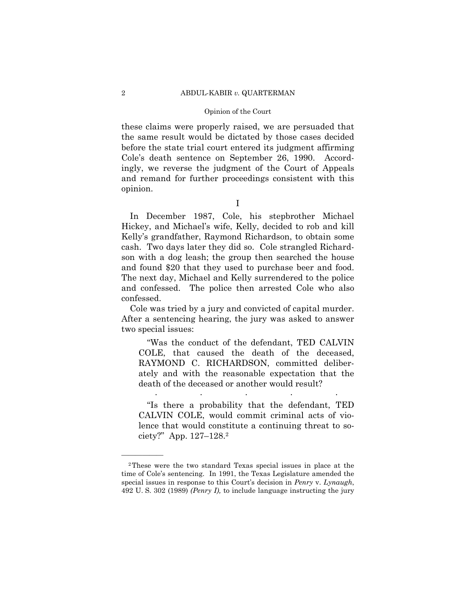these claims were properly raised, we are persuaded that the same result would be dictated by those cases decided before the state trial court entered its judgment affirming Coleís death sentence on September 26, 1990. Accordingly, we reverse the judgment of the Court of Appeals and remand for further proceedings consistent with this opinion.

I

 In December 1987, Cole, his stepbrother Michael Hickey, and Michael's wife, Kelly, decided to rob and kill Kellyís grandfather, Raymond Richardson, to obtain some cash. Two days later they did so. Cole strangled Richardson with a dog leash; the group then searched the house and found \$20 that they used to purchase beer and food. The next day, Michael and Kelly surrendered to the police and confessed. The police then arrested Cole who also confessed.

 Cole was tried by a jury and convicted of capital murder. After a sentencing hearing, the jury was asked to answer two special issues:

 ìWas the conduct of the defendant, TED CALVIN COLE, that caused the death of the deceased, RAYMOND C. RICHARDSON, committed deliberately and with the reasonable expectation that the death of the deceased or another would result?

"Is there a probability that the defendant, TED CALVIN COLE, would commit criminal acts of violence that would constitute a continuing threat to society?" App.  $127-128.2$ 

. . . . .

<sup>2</sup>These were the two standard Texas special issues in place at the time of Cole's sentencing. In 1991, the Texas Legislature amended the special issues in response to this Court's decision in *Penry* v. *Lynaugh*, 492 U. S. 302 (1989) *(Penry I),* to include language instructing the jury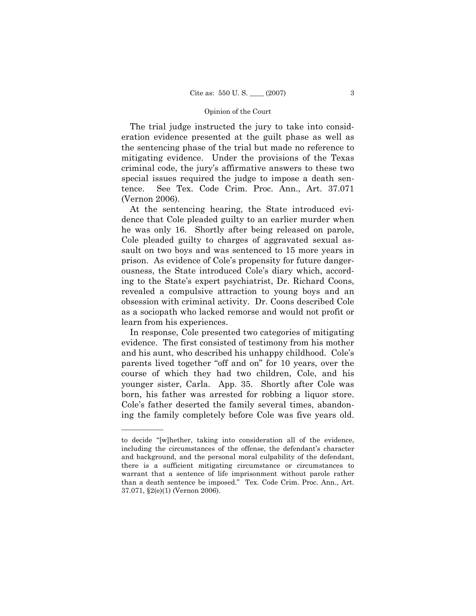The trial judge instructed the jury to take into consideration evidence presented at the guilt phase as well as the sentencing phase of the trial but made no reference to mitigating evidence. Under the provisions of the Texas criminal code, the juryís affirmative answers to these two special issues required the judge to impose a death sentence. See Tex. Code Crim. Proc. Ann., Art. 37.071 (Vernon 2006).

 At the sentencing hearing, the State introduced evidence that Cole pleaded guilty to an earlier murder when he was only 16. Shortly after being released on parole, Cole pleaded guilty to charges of aggravated sexual assault on two boys and was sentenced to 15 more years in prison. As evidence of Coleís propensity for future dangerousness, the State introduced Coleís diary which, according to the Stateís expert psychiatrist, Dr. Richard Coons, revealed a compulsive attraction to young boys and an obsession with criminal activity. Dr. Coons described Cole as a sociopath who lacked remorse and would not profit or learn from his experiences.

 In response, Cole presented two categories of mitigating evidence. The first consisted of testimony from his mother and his aunt, who described his unhappy childhood. Cole's parents lived together "off and on" for 10 years, over the course of which they had two children, Cole, and his younger sister, Carla. App. 35. Shortly after Cole was born, his father was arrested for robbing a liquor store. Cole's father deserted the family several times, abandoning the family completely before Cole was five years old.

to decide "[w]hether, taking into consideration all of the evidence, including the circumstances of the offense, the defendant's character and background, and the personal moral culpability of the defendant, there is a sufficient mitigating circumstance or circumstances to warrant that a sentence of life imprisonment without parole rather than a death sentence be imposed." Tex. Code Crim. Proc. Ann., Art. 37.071, ß2(e)(1) (Vernon 2006).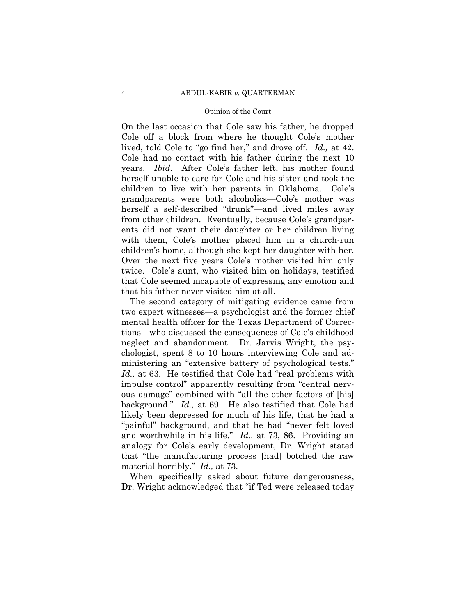On the last occasion that Cole saw his father, he dropped Cole off a block from where he thought Cole's mother lived, told Cole to "go find her," and drove off. *Id.*, at 42. Cole had no contact with his father during the next 10 years. *Ibid.* After Cole's father left, his mother found herself unable to care for Cole and his sister and took the children to live with her parents in Oklahoma. Cole's grandparents were both alcoholics—Cole's mother was herself a self-described "drunk"—and lived miles away from other children. Eventually, because Cole's grandparents did not want their daughter or her children living with them, Cole's mother placed him in a church-run childrenís home, although she kept her daughter with her. Over the next five years Cole's mother visited him only twice. Coleís aunt, who visited him on holidays, testified that Cole seemed incapable of expressing any emotion and that his father never visited him at all.

 The second category of mitigating evidence came from two expert witnesses—a psychologist and the former chief mental health officer for the Texas Department of Corrections—who discussed the consequences of Cole's childhood neglect and abandonment. Dr. Jarvis Wright, the psychologist, spent 8 to 10 hours interviewing Cole and administering an "extensive battery of psychological tests." *Id.*, at 63. He testified that Cole had "real problems with impulse control" apparently resulting from "central nervous damage" combined with "all the other factors of [his] background.î *Id.,* at 69. He also testified that Cole had likely been depressed for much of his life, that he had a "painful" background, and that he had "never felt loved and worthwhile in his life." *Id.*, at 73, 86. Providing an analogy for Coleís early development, Dr. Wright stated that "the manufacturing process [had] botched the raw material horribly.<sup>*n*</sup> *Id.*, at 73.

 When specifically asked about future dangerousness, Dr. Wright acknowledged that "if Ted were released today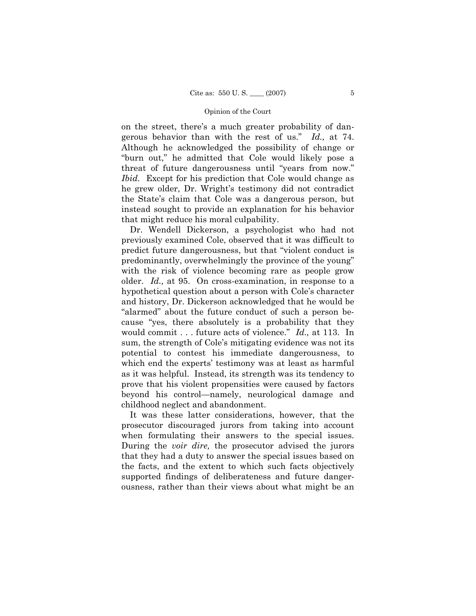on the street, thereís a much greater probability of dangerous behavior than with the rest of us.î *Id.,* at 74. Although he acknowledged the possibility of change or "burn out," he admitted that Cole would likely pose a threat of future dangerousness until "years from now." *Ibid.* Except for his prediction that Cole would change as he grew older, Dr. Wright's testimony did not contradict the Stateís claim that Cole was a dangerous person, but instead sought to provide an explanation for his behavior that might reduce his moral culpability.

 Dr. Wendell Dickerson, a psychologist who had not previously examined Cole, observed that it was difficult to predict future dangerousness, but that "violent conduct is predominantly, overwhelmingly the province of the young" with the risk of violence becoming rare as people grow older. *Id.,* at 95. On cross-examination, in response to a hypothetical question about a person with Cole's character and history, Dr. Dickerson acknowledged that he would be "alarmed" about the future conduct of such a person because "yes, there absolutely is a probability that they would commit . . . future acts of violence." *Id.*, at 113. In sum, the strength of Cole's mitigating evidence was not its potential to contest his immediate dangerousness, to which end the experts' testimony was at least as harmful as it was helpful. Instead, its strength was its tendency to prove that his violent propensities were caused by factors beyond his control—namely, neurological damage and childhood neglect and abandonment.

 It was these latter considerations, however, that the prosecutor discouraged jurors from taking into account when formulating their answers to the special issues. During the *voir dire,* the prosecutor advised the jurors that they had a duty to answer the special issues based on the facts, and the extent to which such facts objectively supported findings of deliberateness and future dangerousness, rather than their views about what might be an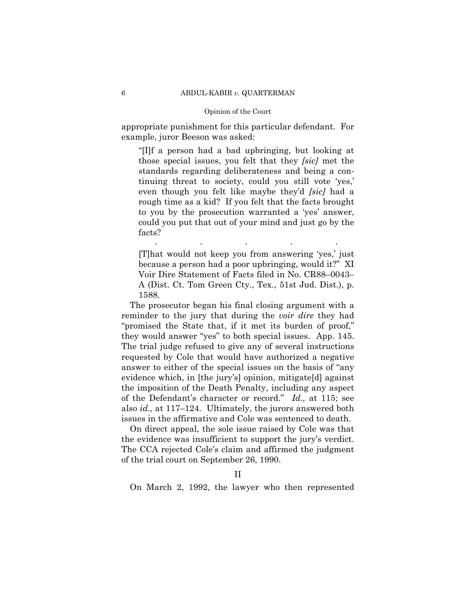appropriate punishment for this particular defendant. For example, juror Beeson was asked:

ì[I]f a person had a bad upbringing, but looking at those special issues, you felt that they *[sic]* met the standards regarding deliberateness and being a continuing threat to society, could you still vote 'yes,' even though you felt like maybe theyíd *[sic]* had a rough time as a kid? If you felt that the facts brought to you by the prosecution warranted a 'yes' answer, could you put that out of your mind and just go by the facts?

[T]hat would not keep you from answering 'yes,' just because a person had a poor upbringing, would it?î XI Voir Dire Statement of Facts filed in No. CR88–0043– A (Dist. Ct. Tom Green Cty., Tex., 51st Jud. Dist.), p. 1588.

. . . . .

 The prosecutor began his final closing argument with a reminder to the jury that during the *voir dire* they had "promised the State that, if it met its burden of proof," they would answer "yes" to both special issues. App. 145. The trial judge refused to give any of several instructions requested by Cole that would have authorized a negative answer to either of the special issues on the basis of "any evidence which, in [the jury's] opinion, mitigate<sup>[d]</sup> against the imposition of the Death Penalty, including any aspect of the Defendant's character or record." *Id.*, at 115; see also *id.*, at 117–124. Ultimately, the jurors answered both issues in the affirmative and Cole was sentenced to death.

 On direct appeal, the sole issue raised by Cole was that the evidence was insufficient to support the jury's verdict. The CCA rejected Cole's claim and affirmed the judgment of the trial court on September 26, 1990.

On March 2, 1992, the lawyer who then represented

II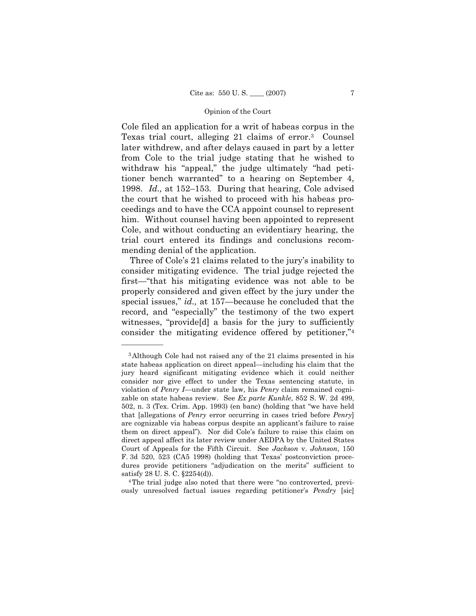Cole filed an application for a writ of habeas corpus in the Texas trial court, alleging 21 claims of error.3 Counsel later withdrew, and after delays caused in part by a letter from Cole to the trial judge stating that he wished to withdraw his "appeal," the judge ultimately "had petitioner bench warranted" to a hearing on September 4, 1998. *Id.*, at 152–153. During that hearing, Cole advised the court that he wished to proceed with his habeas proceedings and to have the CCA appoint counsel to represent him. Without counsel having been appointed to represent Cole, and without conducting an evidentiary hearing, the trial court entered its findings and conclusions recommending denial of the application.

Three of Cole's 21 claims related to the jury's inability to consider mitigating evidence. The trial judge rejected the first—"that his mitigating evidence was not able to be properly considered and given effect by the jury under the special issues," *id.*, at 157-because he concluded that the record, and "especially" the testimony of the two expert witnesses, "provide<sup>[d]</sup> a basis for the jury to sufficiently consider the mitigating evidence offered by petitioner, $\frac{1}{4}$ 

<sup>3</sup>Although Cole had not raised any of the 21 claims presented in his state habeas application on direct appeal—including his claim that the jury heard significant mitigating evidence which it could neither consider nor give effect to under the Texas sentencing statute, in violation of *Penry I*—under state law, his *Penry* claim remained cognizable on state habeas review. See *Ex parte Kunkle*, 852 S. W. 2d 499,  $502$ , n. 3 (Tex. Crim. App. 1993) (en banc) (holding that "we have held that [allegations of *Penry* error occurring in cases tried before *Penry*] are cognizable via habeas corpus despite an applicant's failure to raise them on direct appeal"). Nor did Cole's failure to raise this claim on direct appeal affect its later review under AEDPA by the United States Court of Appeals for the Fifth Circuit. See *Jackson* v. *Johnson*, 150 F. 3d 520, 523 (CA5 1998) (holding that Texas' postconviction procedures provide petitioners "adjudication on the merits" sufficient to satisfy 28 U. S. C. ß2254(d)).

<sup>&</sup>lt;sup>4</sup>The trial judge also noted that there were "no controverted, previously unresolved factual issues regarding petitionerís *Pendry* [sic]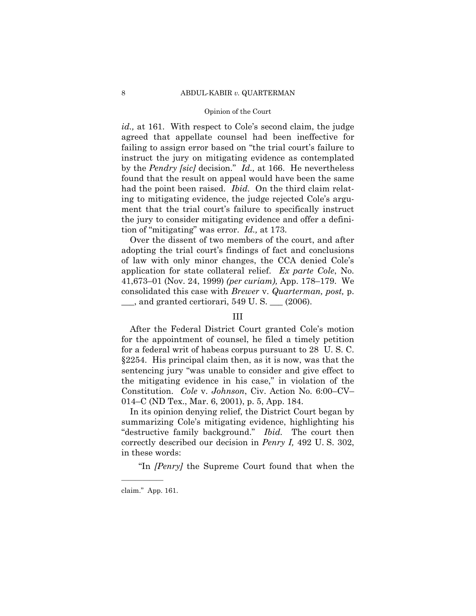*id.*, at 161. With respect to Cole's second claim, the judge agreed that appellate counsel had been ineffective for failing to assign error based on "the trial court's failure to instruct the jury on mitigating evidence as contemplated by the *Pendry [sic]* decision.î *Id.,* at 166. He nevertheless found that the result on appeal would have been the same had the point been raised. *Ibid.* On the third claim relating to mitigating evidence, the judge rejected Cole's argument that the trial court's failure to specifically instruct the jury to consider mitigating evidence and offer a definition of "mitigating" was error. *Id.*, at 173.

 Over the dissent of two members of the court, and after adopting the trial court's findings of fact and conclusions of law with only minor changes, the CCA denied Coleís application for state collateral relief. *Ex parte Cole*, No. 41,673–01 (Nov. 24, 1999) *(per curiam)*, App. 178–179. We consolidated this case with *Brewer* v. *Quarterman, post,* p.  $\_\_$ , and granted certiorari, 549 U.S.  $\_\_$  (2006).

## III

After the Federal District Court granted Cole's motion for the appointment of counsel, he filed a timely petition for a federal writ of habeas corpus pursuant to 28 U. S. C. ß2254. His principal claim then, as it is now, was that the sentencing jury "was unable to consider and give effect to the mitigating evidence in his case," in violation of the Constitution. *Cole v. Johnson*, Civ. Action No. 6:00–CV– 014–C (ND Tex., Mar. 6, 2001), p. 5, App. 184.

 In its opinion denying relief, the District Court began by summarizing Cole's mitigating evidence, highlighting his "destructive family background." *Ibid.* The court then correctly described our decision in *Penry I,* 492 U. S. 302, in these words:

"In *[Penry]* the Supreme Court found that when the

claim." App. 161.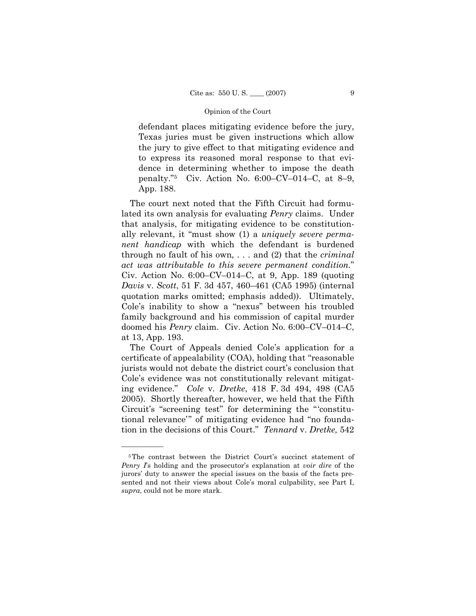defendant places mitigating evidence before the jury, Texas juries must be given instructions which allow the jury to give effect to that mitigating evidence and to express its reasoned moral response to that evidence in determining whether to impose the death penalty.<sup>75</sup> Civ. Action No. 6:00–CV–014–C, at 8–9, App. 188.

 The court next noted that the Fifth Circuit had formulated its own analysis for evaluating *Penry* claims. Under that analysis, for mitigating evidence to be constitutionally relevant, it "must show (1) a *uniquely severe permanent handicap* with which the defendant is burdened through no fault of his own, . . . and (2) that the *criminal act was attributable to this severe permanent condition.*î Civ. Action No.  $6:00$ –CV– $014$ –C, at 9, App. 189 (quoting *Davis v. Scott*, 51 F. 3d 457, 460–461 (CA5 1995) (internal quotation marks omitted; emphasis added)). Ultimately, Cole's inability to show a "nexus" between his troubled family background and his commission of capital murder doomed his *Penry* claim. Civ. Action No. 6:00–CV–014–C, at 13, App. 193.

 The Court of Appeals denied Coleís application for a certificate of appealability  $(COA)$ , holding that "reasonable" jurists would not debate the district court's conclusion that Cole's evidence was not constitutionally relevant mitigating evidence.î *Cole* v. *Dretke*, 418 F. 3d 494, 498 (CA5 2005). Shortly thereafter, however, we held that the Fifth Circuit's "screening test" for determining the "constitutional relevance" of mitigating evidence had "no foundation in the decisions of this Court.î *Tennard* v. *Dretke,* 542

<sup>&</sup>lt;sup>5</sup>The contrast between the District Court's succinct statement of *Penry I*'s holding and the prosecutor's explanation at *voir dire* of the jurors' duty to answer the special issues on the basis of the facts presented and not their views about Cole's moral culpability, see Part I, *supra*, could not be more stark.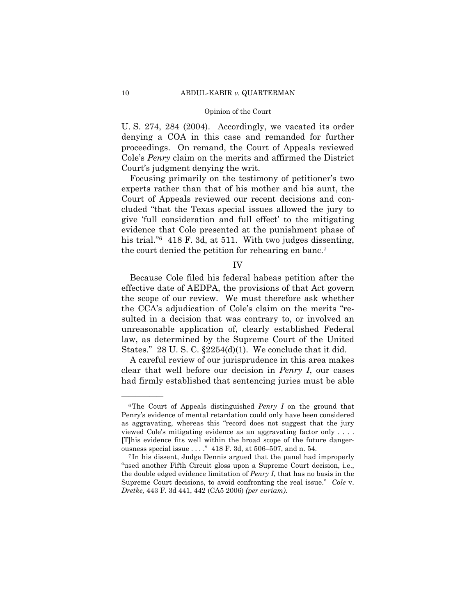U.S. 274, 284 (2004). Accordingly, we vacated its order denying a COA in this case and remanded for further proceedings. On remand, the Court of Appeals reviewed Cole's Penry claim on the merits and affirmed the District Court's judgment denying the writ.

Focusing primarily on the testimony of petitioner's two experts rather than that of his mother and his aunt, the Court of Appeals reviewed our recent decisions and concluded "that the Texas special issues allowed the jury to give 'full consideration and full effect' to the mitigating evidence that Cole presented at the punishment phase of his trial."<sup>6</sup> 418 F. 3d, at 511. With two judges dissenting, the court denied the petition for rehearing en banc.<sup>7</sup>

IV

Because Cole filed his federal habeas petition after the effective date of AEDPA, the provisions of that Act govern the scope of our review. We must therefore ask whether the CCA's adjudication of Cole's claim on the merits "resulted in a decision that was contrary to, or involved an unreasonable application of, clearly established Federal law, as determined by the Supreme Court of the United States." 28 U.S.C.  $\S2254(d)(1)$ . We conclude that it did.

A careful review of our jurisprudence in this area makes clear that well before our decision in *Penry I*, our cases had firmly established that sentencing juries must be able

<sup>&</sup>lt;sup>6</sup>The Court of Appeals distinguished *Penry I* on the ground that Penry's evidence of mental retardation could only have been considered as aggravating, whereas this "record does not suggest that the jury viewed Cole's mitigating evidence as an aggravating factor only . . . . [T]his evidence fits well within the broad scope of the future dangerousness special issue . . . . " 418 F. 3d, at 506-507, and n. 54.

<sup>&</sup>lt;sup>7</sup>In his dissent, Judge Dennis argued that the panel had improperly "used another Fifth Circuit gloss upon a Supreme Court decision, i.e., the double edged evidence limitation of  $Penry I$ , that has no basis in the Supreme Court decisions, to avoid confronting the real issue." Cole v. Dretke, 443 F. 3d 441, 442 (CA5 2006) (per curiam).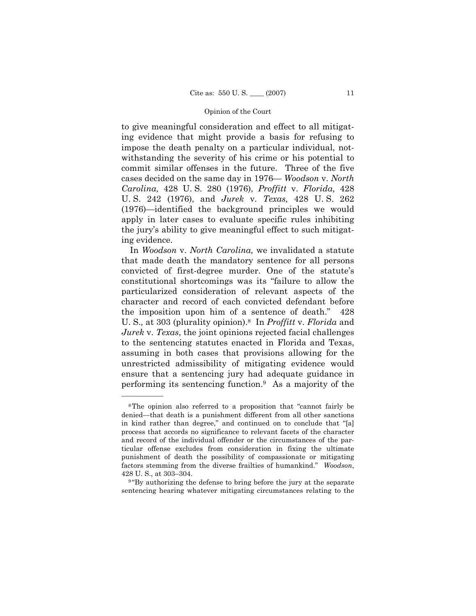to give meaningful consideration and effect to all mitigating evidence that might provide a basis for refusing to impose the death penalty on a particular individual, notwithstanding the severity of his crime or his potential to commit similar offenses in the future. Three of the five cases decided on the same day in 1976— Woodson v. *North Carolina,* 428 U. S. 280 (1976), *Proffitt* v. *Florida,* 428 U. S. 242 (1976), and *Jurek* v. *Texas,* 428 U. S. 262  $(1976)$ —identified the background principles we would apply in later cases to evaluate specific rules inhibiting the juryís ability to give meaningful effect to such mitigating evidence.

 In *Woodson* v. *North Carolina,* we invalidated a statute that made death the mandatory sentence for all persons convicted of first-degree murder. One of the statute's constitutional shortcomings was its "failure to allow the particularized consideration of relevant aspects of the character and record of each convicted defendant before the imposition upon him of a sentence of death."  $428$ U. S.*,* at 303 (plurality opinion).8 In *Proffitt* v. *Florida* and *Jurek* v. *Texas*, the joint opinions rejected facial challenges to the sentencing statutes enacted in Florida and Texas, assuming in both cases that provisions allowing for the unrestricted admissibility of mitigating evidence would ensure that a sentencing jury had adequate guidance in performing its sentencing function.9 As a majority of the

 $8$ The opinion also referred to a proposition that "cannot fairly be denied—that death is a punishment different from all other sanctions in kind rather than degree," and continued on to conclude that "[a] process that accords no significance to relevant facets of the character and record of the individual offender or the circumstances of the particular offense excludes from consideration in fixing the ultimate punishment of death the possibility of compassionate or mitigating factors stemming from the diverse frailties of humankind.î *Woodson*,

<sup>428</sup> U. S., at 303–304.<br><sup>9</sup> <sup>9</sup>By authorizing the defense to bring before the jury at the separate sentencing hearing whatever mitigating circumstances relating to the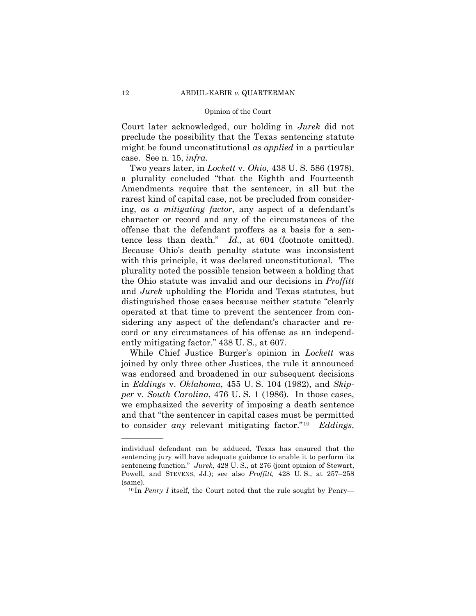Court later acknowledged, our holding in *Jurek* did not preclude the possibility that the Texas sentencing statute might be found unconstitutional *as applied* in a particular case. See n. 15, *infra*.

 Two years later, in *Lockett* v. *Ohio,* 438 U. S. 586 (1978), a plurality concluded "that the Eighth and Fourteenth" Amendments require that the sentencer, in all but the rarest kind of capital case, not be precluded from considering, *as a mitigating factor*, any aspect of a defendant's character or record and any of the circumstances of the offense that the defendant proffers as a basis for a sentence less than death.<sup>"</sup> *Id.*, at 604 (footnote omitted). Because Ohioís death penalty statute was inconsistent with this principle, it was declared unconstitutional. The plurality noted the possible tension between a holding that the Ohio statute was invalid and our decisions in *Proffitt* and *Jurek* upholding the Florida and Texas statutes, but distinguished those cases because neither statute "clearly" operated at that time to prevent the sentencer from considering any aspect of the defendant's character and record or any circumstances of his offense as an independently mitigating factor." 438 U.S., at 607.

 While Chief Justice Burgerís opinion in *Lockett* was joined by only three other Justices, the rule it announced was endorsed and broadened in our subsequent decisions in *Eddings* v. *Oklahoma*, 455 U. S. 104 (1982), and *Skipper* v. *South Carolina*, 476 U. S. 1 (1986). In those cases, we emphasized the severity of imposing a death sentence and that "the sentencer in capital cases must be permitted to consider *any* relevant mitigating factor.<sup>"10</sup> *Eddings*,

individual defendant can be adduced, Texas has ensured that the sentencing jury will have adequate guidance to enable it to perform its sentencing function.<sup>"</sup> Jurek, 428 U. S., at 276 (joint opinion of Stewart, Powell, and STEVENS, JJ.); see also *Proffitt*, 428 U.S., at 257-258 (same).<br><sup>10</sup> In *Penry I* itself, the Court noted that the rule sought by Penry—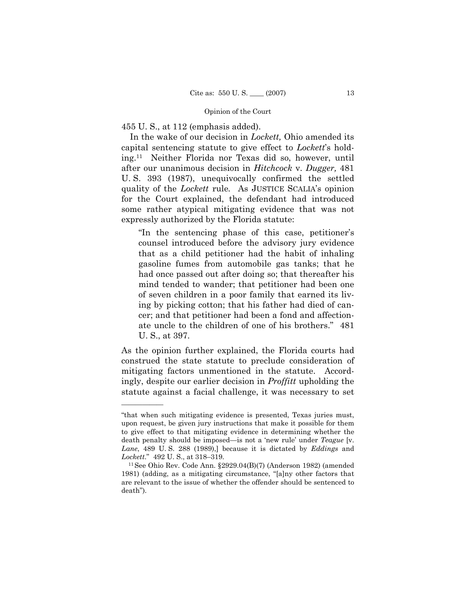455 U. S., at 112 (emphasis added).

 In the wake of our decision in *Lockett,* Ohio amended its capital sentencing statute to give effect to *Lockett*ís holding.11 Neither Florida nor Texas did so, however, until after our unanimous decision in *Hitchcock* v. *Dugger,* 481 U. S. 393 (1987), unequivocally confirmed the settled quality of the *Lockett* rule*.* As JUSTICE SCALIAís opinion for the Court explained, the defendant had introduced some rather atypical mitigating evidence that was not expressly authorized by the Florida statute:

"In the sentencing phase of this case, petitioner's counsel introduced before the advisory jury evidence that as a child petitioner had the habit of inhaling gasoline fumes from automobile gas tanks; that he had once passed out after doing so; that thereafter his mind tended to wander; that petitioner had been one of seven children in a poor family that earned its living by picking cotton; that his father had died of cancer; and that petitioner had been a fond and affectionate uncle to the children of one of his brothers." 481 U. S., at 397.

As the opinion further explained, the Florida courts had construed the state statute to preclude consideration of mitigating factors unmentioned in the statute. Accordingly, despite our earlier decision in *Proffitt* upholding the statute against a facial challenge, it was necessary to set

<sup>&</sup>quot;that when such mitigating evidence is presented, Texas juries must, upon request, be given jury instructions that make it possible for them to give effect to that mitigating evidence in determining whether the death penalty should be imposed—is not a 'new rule' under *Teague* [v. *Lane*, 489 U. S. 288 (1989),] because it is dictated by *Eddings* and *Lockett.*" 492 U. S., at 318–319.<br><sup>11</sup>See Ohio Rev. Code Ann. §2929.04(B)(7) (Anderson 1982) (amended

<sup>1981) (</sup>adding, as a mitigating circumstance, " $[a]$ ny other factors that are relevant to the issue of whether the offender should be sentenced to death").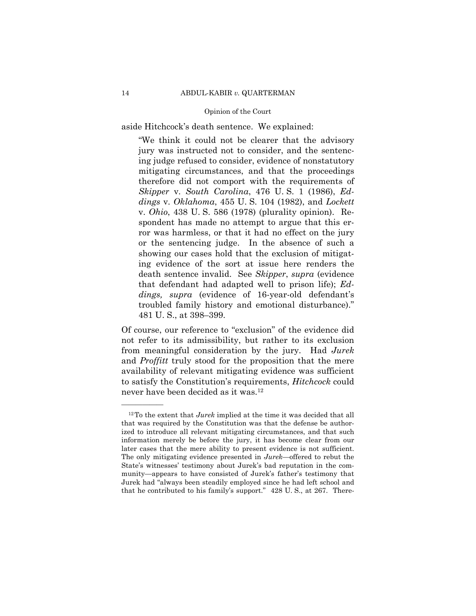aside Hitchcock's death sentence. We explained:

ìWe think it could not be clearer that the advisory jury was instructed not to consider, and the sentencing judge refused to consider, evidence of nonstatutory mitigating circumstances, and that the proceedings therefore did not comport with the requirements of *Skipper* v. *South Carolina*, 476 U. S. 1 (1986), *Eddings* v. *Oklahoma*, 455 U. S. 104 (1982), and *Lockett* v. *Ohio*, 438 U. S. 586 (1978) (plurality opinion). Respondent has made no attempt to argue that this error was harmless, or that it had no effect on the jury or the sentencing judge. In the absence of such a showing our cases hold that the exclusion of mitigating evidence of the sort at issue here renders the death sentence invalid. See *Skipper*, *supra* (evidence that defendant had adapted well to prison life); *Ed*dings, supra (evidence of 16-year-old defendant's troubled family history and emotional disturbance). 481 U.S., at 398–399.

Of course, our reference to "exclusion" of the evidence did not refer to its admissibility, but rather to its exclusion from meaningful consideration by the jury. Had *Jurek* and *Proffitt* truly stood for the proposition that the mere availability of relevant mitigating evidence was sufficient to satisfy the Constitutionís requirements, *Hitchcock* could never have been decided as it was.12

<sup>12</sup>To the extent that *Jurek* implied at the time it was decided that all that was required by the Constitution was that the defense be authorized to introduce all relevant mitigating circumstances, and that such information merely be before the jury, it has become clear from our later cases that the mere ability to present evidence is not sufficient. The only mitigating evidence presented in *Jurek*—offered to rebut the State's witnesses' testimony about Jurek's bad reputation in the community—appears to have consisted of Jurek's father's testimony that Jurek had "always been steadily employed since he had left school and that he contributed to his family's support."  $428$  U. S., at 267. There-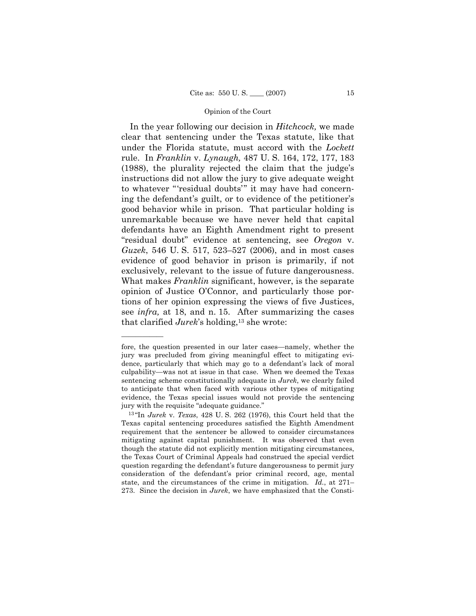In the year following our decision in *Hitchcock,* we made clear that sentencing under the Texas statute, like that under the Florida statute, must accord with the *Lockett* rule. In *Franklin* v. *Lynaugh,* 487 U. S. 164, 172, 177, 183 (1988), the plurality rejected the claim that the judge's instructions did not allow the jury to give adequate weight to whatever "'residual doubts'" it may have had concerning the defendant's guilt, or to evidence of the petitioner's good behavior while in prison. That particular holding is unremarkable because we have never held that capital defendants have an Eighth Amendment right to present ìresidual doubtî evidence at sentencing, see *Oregon* v. *Guzek*, 546 U.S. 517, 523–527 (2006), and in most cases evidence of good behavior in prison is primarily, if not exclusively, relevant to the issue of future dangerousness. What makes *Franklin* significant, however, is the separate opinion of Justice OíConnor, and particularly those portions of her opinion expressing the views of five Justices, see *infra,* at 18, and n. 15. After summarizing the cases that clarified *Jurek*'s holding,<sup>13</sup> she wrote:

fore, the question presented in our later cases—namely, whether the jury was precluded from giving meaningful effect to mitigating evidence, particularly that which may go to a defendant's lack of moral culpability—was not at issue in that case. When we deemed the Texas sentencing scheme constitutionally adequate in *Jurek*, we clearly failed to anticipate that when faced with various other types of mitigating evidence, the Texas special issues would not provide the sentencing jury with the requisite "adequate guidance."

 $13$ "In *Jurek* v. *Texas*, 428 U. S. 262 (1976), this Court held that the Texas capital sentencing procedures satisfied the Eighth Amendment requirement that the sentencer be allowed to consider circumstances mitigating against capital punishment. It was observed that even though the statute did not explicitly mention mitigating circumstances, the Texas Court of Criminal Appeals had construed the special verdict question regarding the defendant's future dangerousness to permit jury consideration of the defendant's prior criminal record, age, mental state, and the circumstances of the crime in mitigation.  $Id$ , at  $271-$ 273. Since the decision in *Jurek*, we have emphasized that the Consti-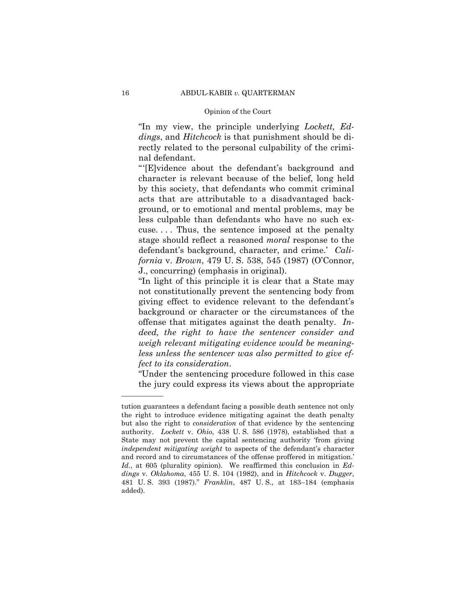"In my view, the principle underlying Lockett, Ed*dings*, and *Hitchcock* is that punishment should be directly related to the personal culpability of the criminal defendant.

"'[E]vidence about the defendant's background and character is relevant because of the belief, long held by this society, that defendants who commit criminal acts that are attributable to a disadvantaged background, or to emotional and mental problems, may be less culpable than defendants who have no such excuse.... Thus, the sentence imposed at the penalty stage should reflect a reasoned *moral* response to the defendant's background, character, and crime.' California v. Brown, 479 U.S. 538, 545 (1987) (O'Connor, J., concurring) (emphasis in original).

"In light of this principle it is clear that a State may not constitutionally prevent the sentencing body from giving effect to evidence relevant to the defendant's background or character or the circumstances of the offense that mitigates against the death penalty.  $In$ deed, the right to have the sentencer consider and weigh relevant mitigating evidence would be meaningless unless the sentencer was also permitted to give effect to its consideration.

"Under the sentencing procedure followed in this case" the jury could express its views about the appropriate

tution guarantees a defendant facing a possible death sentence not only the right to introduce evidence mitigating against the death penalty but also the right to *consideration* of that evidence by the sentencing authority. Lockett v. Ohio, 438 U.S. 586 (1978), established that a State may not prevent the capital sentencing authority 'from giving independent mitigating weight to aspects of the defendant's character and record and to circumstances of the offense proffered in mitigation.'  $Id.$ , at 605 (plurality opinion). We reaffirmed this conclusion in  $Ed$ dings v. Oklahoma, 455 U.S. 104 (1982), and in Hitchcock v. Dugger, 481 U.S. 393 (1987)." Franklin, 487 U.S., at 183-184 (emphasis added).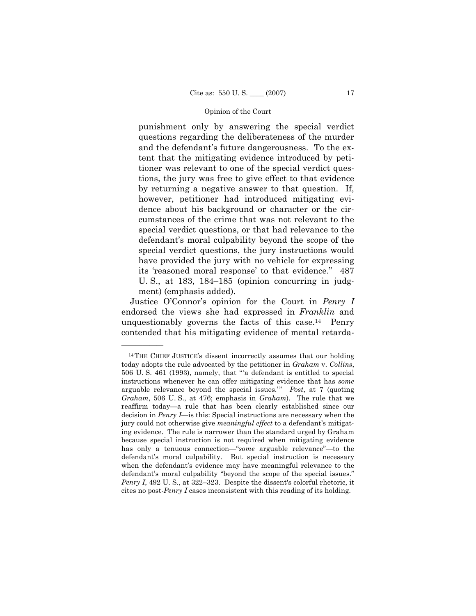punishment only by answering the special verdict questions regarding the deliberateness of the murder and the defendant's future dangerousness. To the extent that the mitigating evidence introduced by petitioner was relevant to one of the special verdict questions, the jury was free to give effect to that evidence by returning a negative answer to that question. If, however, petitioner had introduced mitigating evidence about his background or character or the circumstances of the crime that was not relevant to the special verdict questions, or that had relevance to the defendant's moral culpability beyond the scope of the special verdict questions, the jury instructions would have provided the jury with no vehicle for expressing its 'reasoned moral response' to that evidence." 487 U.S., at 183, 184–185 (opinion concurring in judgment) (emphasis added).

Justice O'Connor's opinion for the Court in *Penry I* endorsed the views she had expressed in Franklin and unquestionably governs the facts of this case.<sup>14</sup> Penry contended that his mitigating evidence of mental retarda-

<sup>&</sup>lt;sup>14</sup>THE CHIEF JUSTICE's dissent incorrectly assumes that our holding today adopts the rule advocated by the petitioner in *Graham v. Collins*, 506 U.S. 461 (1993), namely, that "'a defendant is entitled to special instructions whenever he can offer mitigating evidence that has some arguable relevance beyond the special issues." Post, at 7 (quoting Graham, 506 U.S., at 476; emphasis in Graham). The rule that we reaffirm today—a rule that has been clearly established since our decision in *Penry I*—is this: Special instructions are necessary when the jury could not otherwise give *meaningful effect* to a defendant's mitigating evidence. The rule is narrower than the standard urged by Graham because special instruction is not required when mitigating evidence has only a tenuous connection—"some arguable relevance"—to the defendant's moral culpability. But special instruction is necessary when the defendant's evidence may have meaningful relevance to the defendant's moral culpability "beyond the scope of the special issues." Penry I, 492 U.S., at 322–323. Despite the dissent's colorful rhetoric, it cites no post-*Penry I* cases inconsistent with this reading of its holding.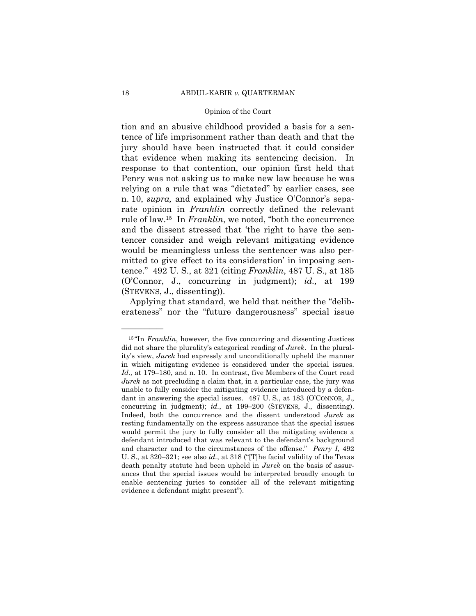tion and an abusive childhood provided a basis for a sentence of life imprisonment rather than death and that the jury should have been instructed that it could consider that evidence when making its sentencing decision. In response to that contention, our opinion first held that Penry was not asking us to make new law because he was relying on a rule that was "dictated" by earlier cases, see n. 10, *supra*, and explained why Justice O'Connor's separate opinion in *Franklin* correctly defined the relevant rule of law.<sup>15</sup> In *Franklin*, we noted, "both the concurrence" and the dissent stressed that 'the right to have the sentencer consider and weigh relevant mitigating evidence would be meaningless unless the sentencer was also permitted to give effect to its consideration' in imposing sentence.î 492 U. S., at 321 (citing *Franklin*, 487 U. S., at 185 (OíConnor, J., concurring in judgment); *id.,* at 199 (STEVENS, J., dissenting)).

Applying that standard, we held that neither the "deliberateness" nor the "future dangerousness" special issue

<sup>&</sup>lt;sup>15</sup>"In *Franklin*, however, the five concurring and dissenting Justices did not share the pluralityís categorical reading of *Jurek*. In the pluralityís view, *Jurek* had expressly and unconditionally upheld the manner in which mitigating evidence is considered under the special issues. *Id.*, at 179–180, and n. 10. In contrast, five Members of the Court read *Jurek* as not precluding a claim that, in a particular case, the jury was unable to fully consider the mitigating evidence introduced by a defendant in answering the special issues. 487 U.S., at 183 (O'CONNOR, J., concurring in judgment); *id.*, at 199-200 (STEVENS, J., dissenting). Indeed, both the concurrence and the dissent understood *Jurek* as resting fundamentally on the express assurance that the special issues would permit the jury to fully consider all the mitigating evidence a defendant introduced that was relevant to the defendant's background and character and to the circumstances of the offense.î *Penry I*, 492 U. S., at 320-321; see also *id.*, at 318 ("[T]he facial validity of the Texas death penalty statute had been upheld in *Jurek* on the basis of assurances that the special issues would be interpreted broadly enough to enable sentencing juries to consider all of the relevant mitigating evidence a defendant might present").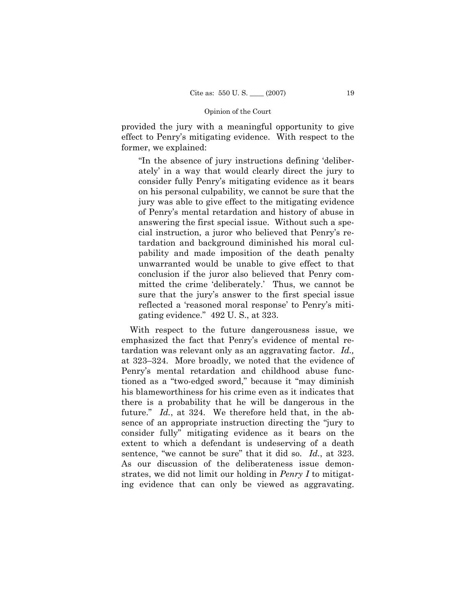provided the jury with a meaningful opportunity to give effect to Penryís mitigating evidence. With respect to the former, we explained:

"In the absence of jury instructions defining 'deliberately' in a way that would clearly direct the jury to consider fully Penryís mitigating evidence as it bears on his personal culpability, we cannot be sure that the jury was able to give effect to the mitigating evidence of Penryís mental retardation and history of abuse in answering the first special issue. Without such a special instruction, a juror who believed that Penryís retardation and background diminished his moral culpability and made imposition of the death penalty unwarranted would be unable to give effect to that conclusion if the juror also believed that Penry committed the crime 'deliberately.' Thus, we cannot be sure that the jury's answer to the first special issue reflected a 'reasoned moral response' to Penry's mitigating evidence.î492 U. S., at 323.

 With respect to the future dangerousness issue, we emphasized the fact that Penryís evidence of mental retardation was relevant only as an aggravating factor. *Id.,* at  $323-324$ . More broadly, we noted that the evidence of Penryís mental retardation and childhood abuse functioned as a "two-edged sword," because it "may diminish his blameworthiness for his crime even as it indicates that there is a probability that he will be dangerous in the future." *Id.*, at 324. We therefore held that, in the absence of an appropriate instruction directing the "jury to consider fullyî mitigating evidence as it bears on the extent to which a defendant is undeserving of a death sentence, "we cannot be sure" that it did so. *Id.*, at 323. As our discussion of the deliberateness issue demonstrates, we did not limit our holding in *Penry I* to mitigating evidence that can only be viewed as aggravating.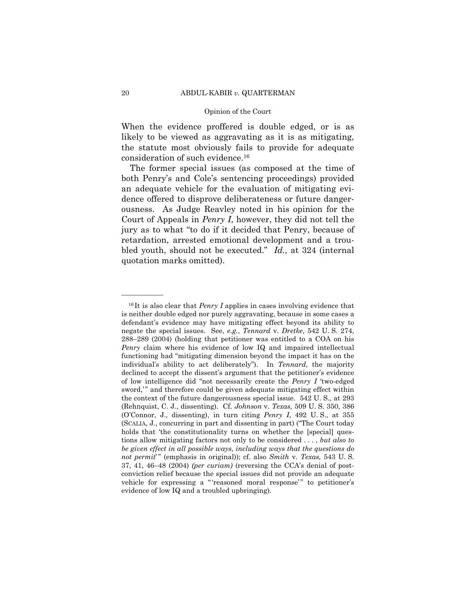When the evidence proffered is double edged, or is as likely to be viewed as aggravating as it is as mitigating, the statute most obviously fails to provide for adequate consideration of such evidence.16

 The former special issues (as composed at the time of both Penry's and Cole's sentencing proceedings) provided an adequate vehicle for the evaluation of mitigating evidence offered to disprove deliberateness or future dangerousness. As Judge Reavley noted in his opinion for the Court of Appeals in *Penry I*, however, they did not tell the jury as to what "to do if it decided that Penry, because of retardation, arrested emotional development and a troubled youth, should not be executed.î *Id.,* at 324 (internal quotation marks omitted).

<sup>&</sup>lt;sup>16</sup>It is also clear that *Penry I* applies in cases involving evidence that is neither double edged nor purely aggravating, because in some cases a defendant's evidence may have mitigating effect beyond its ability to negate the special issues. See, *e.g.*, *Tennard* v. *Dretke,* 542 U. S. 274,  $288-289$  (2004) (holding that petitioner was entitled to a COA on his *Penry* claim where his evidence of low IQ and impaired intellectual functioning had "mitigating dimension beyond the impact it has on the individual's ability to act deliberately"). In *Tennard*, the majority declined to accept the dissent's argument that the petitioner's evidence of low intelligence did "not necessarily create the *Penry I* 'two-edged sword," and therefore could be given adequate mitigating effect within the context of the future dangerousness special issue. 542 U. S., at 293 (Rehnquist, C. J., dissenting). Cf. *Johnson* v. *Texas,* 509 U. S. 350, 386 (OíConnor, J., dissenting), in turn citing *Penry I*, 492 U. S., at 355 (SCALIA, J., concurring in part and dissenting in part) ("The Court today holds that 'the constitutionality turns on whether the [special] questions allow mitigating factors not only to be considered . . . , *but also to be given effect in all possible ways, including ways that the questions do not permit*íî (emphasis in original)); cf. also *Smith* v. *Texas,* 543 U. S.  $37, 41, 46–48$  (2004) *(per curiam)* (reversing the CCA's denial of postconviction relief because the special issues did not provide an adequate vehicle for expressing a "reasoned moral response" to petitioner's evidence of low IQ and a troubled upbringing).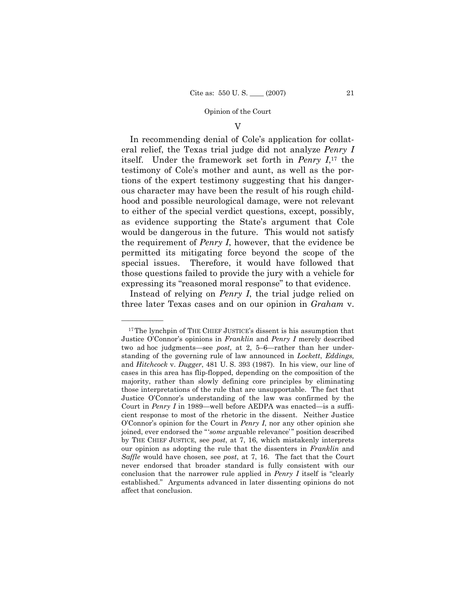### V

In recommending denial of Cole's application for collateral relief, the Texas trial judge did not analyze *Penry I* itself. Under the framework set forth in *Penry I*,17 the testimony of Coleís mother and aunt, as well as the portions of the expert testimony suggesting that his dangerous character may have been the result of his rough childhood and possible neurological damage, were not relevant to either of the special verdict questions, except, possibly, as evidence supporting the State's argument that Cole would be dangerous in the future. This would not satisfy the requirement of *Penry I*, however, that the evidence be permitted its mitigating force beyond the scope of the special issues. Therefore, it would have followed that those questions failed to provide the jury with a vehicle for expressing its "reasoned moral response" to that evidence.

 Instead of relying on *Penry I*, the trial judge relied on three later Texas cases and on our opinion in *Graham* v.

<sup>&</sup>lt;sup>17</sup>The lynchpin of THE CHIEF JUSTICE's dissent is his assumption that Justice OíConnorís opinions in *Franklin* and *Penry I* merely described two ad hoc judgments—see *post*, at 2, 5-6—rather than her understanding of the governing rule of law announced in *Lockett*, *Eddings,*  and *Hitchcock* v. *Dugger*, 481 U. S. 393 (1987). In his view, our line of cases in this area has flip-flopped, depending on the composition of the majority, rather than slowly defining core principles by eliminating those interpretations of the rule that are unsupportable. The fact that Justice O'Connor's understanding of the law was confirmed by the Court in *Penry I* in 1989—well before AEDPA was enacted—is a sufficient response to most of the rhetoric in the dissent. Neither Justice O'Connor's opinion for the Court in *Penry I*, nor any other opinion she joined, ever endorsed the "'some arguable relevance'" position described by THE CHIEF JUSTICE, see *post*, at 7, 16, which mistakenly interprets our opinion as adopting the rule that the dissenters in *Franklin* and *Saffle* would have chosen, see *post*, at 7, 16. The fact that the Court never endorsed that broader standard is fully consistent with our conclusion that the narrower rule applied in *Penry I* itself is "clearly" established." Arguments advanced in later dissenting opinions do not affect that conclusion.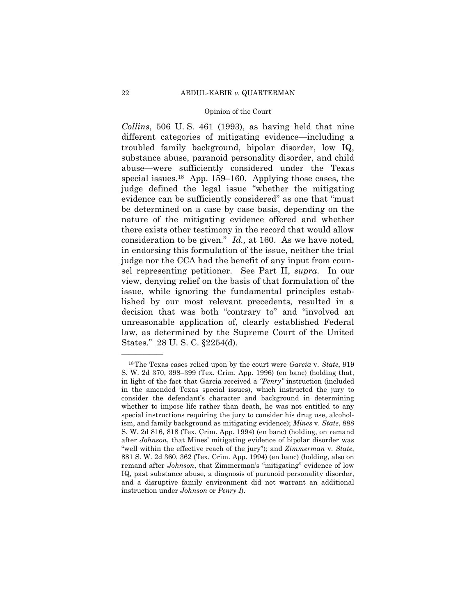Collins, 506 U.S. 461 (1993), as having held that nine different categories of mitigating evidence—including a troubled family background, bipolar disorder, low IQ, substance abuse, paranoid personality disorder, and child abuse—were sufficiently considered under the Texas special issues.<sup>18</sup> App. 159–160. Applying those cases, the judge defined the legal issue "whether the mitigating evidence can be sufficiently considered" as one that "must" be determined on a case by case basis, depending on the nature of the mitigating evidence offered and whether there exists other testimony in the record that would allow consideration to be given."  $Id.$ , at 160. As we have noted, in endorsing this formulation of the issue, neither the trial judge nor the CCA had the benefit of any input from counsel representing petitioner. See Part II, supra. In our view, denying relief on the basis of that formulation of the issue, while ignoring the fundamental principles established by our most relevant precedents, resulted in a decision that was both "contrary to" and "involved an unreasonable application of, clearly established Federal law, as determined by the Supreme Court of the United States." 28 U.S.C. §2254(d).

<sup>&</sup>lt;sup>18</sup>The Texas cases relied upon by the court were *Garcia* v. *State*, 919 S. W. 2d 370, 398-399 (Tex. Crim. App. 1996) (en banc) (holding that, in light of the fact that Garcia received a "Penry" instruction (included in the amended Texas special issues), which instructed the jury to consider the defendant's character and background in determining whether to impose life rather than death, he was not entitled to any special instructions requiring the jury to consider his drug use, alcoholism, and family background as mitigating evidence); Mines v. State, 888 S. W. 2d 816, 818 (Tex. Crim. App. 1994) (en banc) (holding, on remand after Johnson, that Mines' mitigating evidence of bipolar disorder was "well within the effective reach of the jury"); and Zimmerman v. State, 881 S. W. 2d 360, 362 (Tex. Crim. App. 1994) (en banc) (holding, also on remand after Johnson, that Zimmerman's "mitigating" evidence of low IQ, past substance abuse, a diagnosis of paranoid personality disorder, and a disruptive family environment did not warrant an additional instruction under *Johnson* or  $PenryD$ .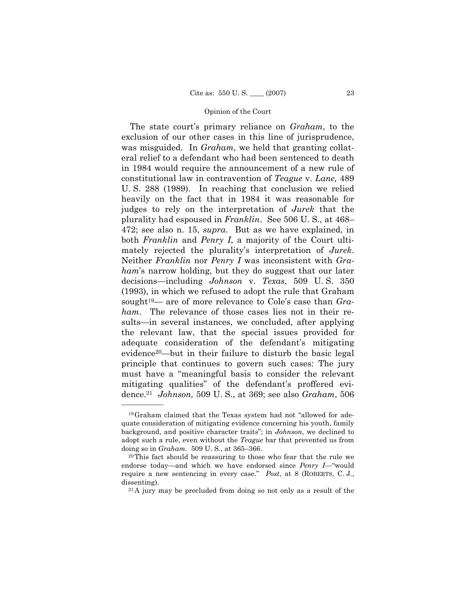The state court's primary reliance on *Graham*, to the exclusion of our other cases in this line of jurisprudence, was misguided. In *Graham*, we held that granting collateral relief to a defendant who had been sentenced to death in 1984 would require the announcement of a new rule of constitutional law in contravention of *Teague* v. *Lane,* 489 U. S. 288 (1989). In reaching that conclusion we relied heavily on the fact that in 1984 it was reasonable for judges to rely on the interpretation of *Jurek* that the plurality had espoused in *Franklin*. See 506 U. S., at 468ñ 472; see also n. 15, *supra*. But as we have explained, in both *Franklin* and *Penry I*, a majority of the Court ultimately rejected the pluralityís interpretation of *Jurek*. Neither *Franklin* nor *Penry I* was inconsistent with *Graham*ís narrow holding, but they do suggest that our later decisions—including *Johnson* v. *Texas*, 509 U.S. 350 (1993), in which we refused to adopt the rule that Graham sought<sup>19</sup>— are of more relevance to Cole's case than *Graham*. The relevance of those cases lies not in their results—in several instances, we concluded, after applying the relevant law, that the special issues provided for adequate consideration of the defendant's mitigating evidence<sup>20</sup>—but in their failure to disturb the basic legal principle that continues to govern such cases: The jury must have a "meaningful basis to consider the relevant mitigating qualities" of the defendant's proffered evidence.21 *Johnson,* 509 U. S., at 369; see also *Graham*, 506

 $19$ Graham claimed that the Texas system had not "allowed for adequate consideration of mitigating evidence concerning his youth, family background, and positive character traits"; in *Johnson*, we declined to adopt such a rule, even without the *Teague* bar that prevented us from doing so in *Graham*. 509 U. S., at 365–366. <sup>20</sup>This fact should be reassuring to those who fear that the rule we

endorse today—and which we have endorsed since *Penry I*—"would require a new sentencing in every case." *Post*, at 8 (ROBERTS, C. J., dissenting).<br><sup>21</sup>A jury may be precluded from doing so not only as a result of the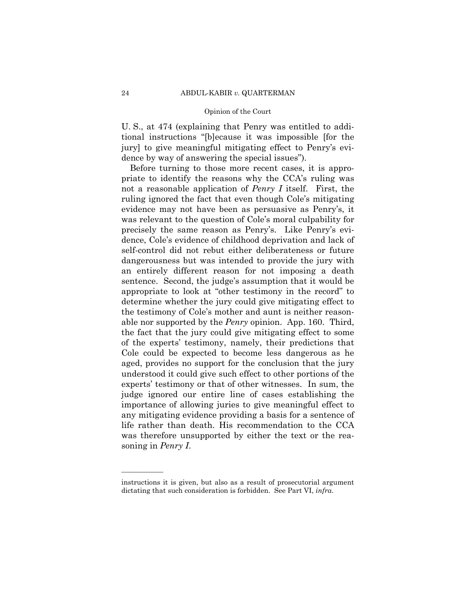U. S., at 474 (explaining that Penry was entitled to additional instructions "[b]ecause it was impossible [for the jury] to give meaningful mitigating effect to Penryís evidence by way of answering the special issues").

 Before turning to those more recent cases, it is appropriate to identify the reasons why the CCA's ruling was not a reasonable application of *Penry I* itself. First, the ruling ignored the fact that even though Cole's mitigating evidence may not have been as persuasive as Penryís, it was relevant to the question of Cole's moral culpability for precisely the same reason as Penryís. Like Penryís evidence, Cole's evidence of childhood deprivation and lack of self-control did not rebut either deliberateness or future dangerousness but was intended to provide the jury with an entirely different reason for not imposing a death sentence. Second, the judge's assumption that it would be appropriate to look at "other testimony in the record" to determine whether the jury could give mitigating effect to the testimony of Cole's mother and aunt is neither reasonable nor supported by the *Penry* opinion. App. 160. Third, the fact that the jury could give mitigating effect to some of the expertsí testimony, namely, their predictions that Cole could be expected to become less dangerous as he aged, provides no support for the conclusion that the jury understood it could give such effect to other portions of the expertsí testimony or that of other witnesses. In sum, the judge ignored our entire line of cases establishing the importance of allowing juries to give meaningful effect to any mitigating evidence providing a basis for a sentence of life rather than death. His recommendation to the CCA was therefore unsupported by either the text or the reasoning in *Penry I*.

instructions it is given, but also as a result of prosecutorial argument dictating that such consideration is forbidden. See Part VI, *infra*.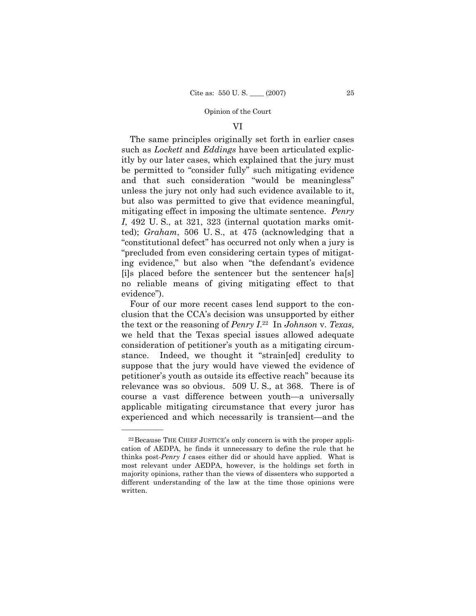### VI

 The same principles originally set forth in earlier cases such as *Lockett* and *Eddings* have been articulated explicitly by our later cases, which explained that the jury must be permitted to "consider fully" such mitigating evidence and that such consideration "would be meaningless" unless the jury not only had such evidence available to it, but also was permitted to give that evidence meaningful, mitigating effect in imposing the ultimate sentence. *Penry I*, 492 U. S., at 321, 323 (internal quotation marks omitted); *Graham*, 506 U. S., at 475 (acknowledging that a ìconstitutional defectî has occurred not only when a jury is ìprecluded from even considering certain types of mitigating evidence," but also when "the defendant's evidence [i]s placed before the sentencer but the sentencer ha[s] no reliable means of giving mitigating effect to that evidence").

 Four of our more recent cases lend support to the conclusion that the CCAís decision was unsupported by either the text or the reasoning of *Penry I*.22 In *Johnson* v. *Texas,* we held that the Texas special issues allowed adequate consideration of petitioner's youth as a mitigating circumstance. Indeed, we thought it "strain[ed] credulity to suppose that the jury would have viewed the evidence of petitioner's youth as outside its effective reach" because its relevance was so obvious. 509 U. S.*,* at 368. There is of course a vast difference between youth—a universally applicable mitigating circumstance that every juror has experienced and which necessarily is transient—and the

<sup>&</sup>lt;sup>22</sup> Because THE CHIEF JUSTICE's only concern is with the proper application of AEDPA, he finds it unnecessary to define the rule that he thinks post-*Penry I* cases either did or should have applied. What is most relevant under AEDPA, however, is the holdings set forth in majority opinions, rather than the views of dissenters who supported a different understanding of the law at the time those opinions were written.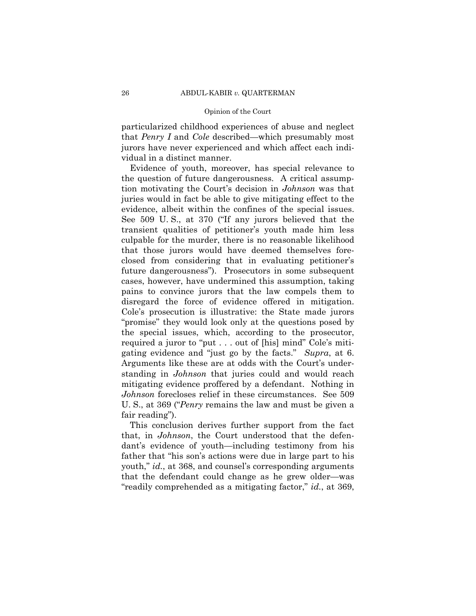particularized childhood experiences of abuse and neglect that *Penry I* and *Cole* described—which presumably most jurors have never experienced and which affect each individual in a distinct manner.

 Evidence of youth, moreover, has special relevance to the question of future dangerousness. A critical assumption motivating the Court's decision in *Johnson* was that juries would in fact be able to give mitigating effect to the evidence, albeit within the confines of the special issues. See 509 U.S., at 370 ("If any jurors believed that the transient qualities of petitioner's youth made him less culpable for the murder, there is no reasonable likelihood that those jurors would have deemed themselves foreclosed from considering that in evaluating petitioner's future dangerousness"). Prosecutors in some subsequent cases, however, have undermined this assumption, taking pains to convince jurors that the law compels them to disregard the force of evidence offered in mitigation. Coleís prosecution is illustrative: the State made jurors "promise" they would look only at the questions posed by the special issues, which, according to the prosecutor, required a juror to "put  $\ldots$  out of [his] mind" Cole's mitigating evidence and "just go by the facts." *Supra*, at 6. Arguments like these are at odds with the Court's understanding in *Johnson* that juries could and would reach mitigating evidence proffered by a defendant. Nothing in *Johnson* forecloses relief in these circumstances. See 509 U. S., at 369 (*Penry* remains the law and must be given a fair reading").

 This conclusion derives further support from the fact that, in *Johnson*, the Court understood that the defendant's evidence of youth—including testimony from his father that "his son's actions were due in large part to his youth," *id.*, at 368, and counsel's corresponding arguments that the defendant could change as he grew older-was "readily comprehended as a mitigating factor," *id.*, at 369,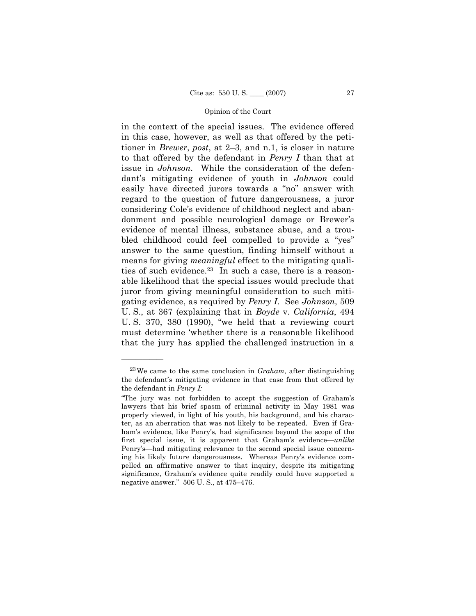in the context of the special issues. The evidence offered in this case, however, as well as that offered by the petitioner in *Brewer*, *post*, at 2–3, and n.1, is closer in nature to that offered by the defendant in *Penry I* than that at issue in *Johnson*. While the consideration of the defendant's mitigating evidence of youth in *Johnson* could easily have directed jurors towards a "no" answer with regard to the question of future dangerousness, a juror considering Coleís evidence of childhood neglect and abandonment and possible neurological damage or Brewer's evidence of mental illness, substance abuse, and a troubled childhood could feel compelled to provide a "yes" answer to the same question, finding himself without a means for giving *meaningful* effect to the mitigating qualities of such evidence.23 In such a case, there is a reasonable likelihood that the special issues would preclude that juror from giving meaningful consideration to such mitigating evidence, as required by *Penry I*. See *Johnson*, 509 U. S., at 367 (explaining that in *Boyde* v. *California*, 494 U. S.  $370, 380$  (1990), "we held that a reviewing court must determine ëwhether there is a reasonable likelihood that the jury has applied the challenged instruction in a

<sup>23</sup>We came to the same conclusion in *Graham*, after distinguishing the defendant's mitigating evidence in that case from that offered by the defendant in *Penry I:*

ìThe jury was not forbidden to accept the suggestion of Grahamís lawyers that his brief spasm of criminal activity in May 1981 was properly viewed, in light of his youth, his background, and his character, as an aberration that was not likely to be repeated. Even if Graham's evidence, like Penry's, had significance beyond the scope of the first special issue, it is apparent that Graham's evidence—*unlike* Penry's—had mitigating relevance to the second special issue concerning his likely future dangerousness. Whereas Penryís evidence compelled an affirmative answer to that inquiry, despite its mitigating significance, Grahamís evidence quite readily could have supported a negative answer."  $506$  U. S., at  $475-476$ .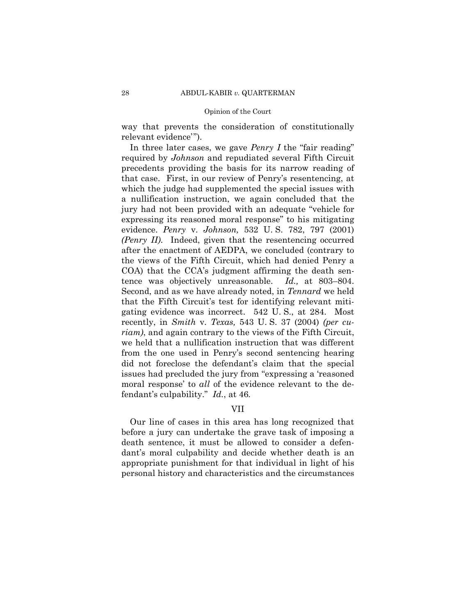way that prevents the consideration of constitutionally relevant evidence'").

In three later cases, we gave *Penry I* the "fair reading" required by *Johnson* and repudiated several Fifth Circuit precedents providing the basis for its narrow reading of that case. First, in our review of Penryís resentencing, at which the judge had supplemented the special issues with a nullification instruction, we again concluded that the jury had not been provided with an adequate "vehicle for expressing its reasoned moral response" to his mitigating evidence. *Penry* v. *Johnson,* 532 U. S. 782, 797 (2001) *(Penry II)*. Indeed, given that the resentencing occurred after the enactment of AEDPA, we concluded (contrary to the views of the Fifth Circuit, which had denied Penry a COA) that the CCA's judgment affirming the death sentence was objectively unreasonable. *Id.*, at 803-804. Second, and as we have already noted, in *Tennard* we held that the Fifth Circuit's test for identifying relevant mitigating evidence was incorrect. 542 U. S., at 284. Most recently, in *Smith* v. *Texas,* 543 U. S. 37 (2004) *(per curiam)*, and again contrary to the views of the Fifth Circuit, we held that a nullification instruction that was different from the one used in Penryís second sentencing hearing did not foreclose the defendant's claim that the special issues had precluded the jury from "expressing a 'reasoned" moral response' to *all* of the evidence relevant to the defendantís culpability.î *Id.*, at 46*.*

### VII

 Our line of cases in this area has long recognized that before a jury can undertake the grave task of imposing a death sentence, it must be allowed to consider a defendant's moral culpability and decide whether death is an appropriate punishment for that individual in light of his personal history and characteristics and the circumstances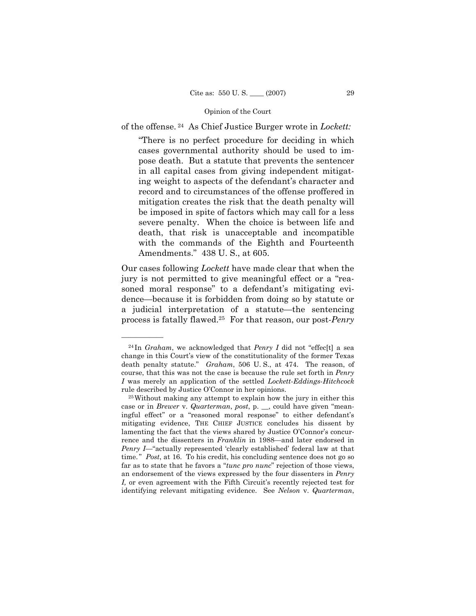of the offense.<sup>24</sup> As Chief Justice Burger wrote in *Lockett*:

"There is no perfect procedure for deciding in which cases governmental authority should be used to impose death. But a statute that prevents the sentencer in all capital cases from giving independent mitigating weight to aspects of the defendant's character and record and to circumstances of the offense proffered in mitigation creates the risk that the death penalty will be imposed in spite of factors which may call for a less severe penalty. When the choice is between life and death, that risk is unacceptable and incompatible with the commands of the Eighth and Fourteenth Amendments." 438 U.S., at 605.

Our cases following *Lockett* have made clear that when the jury is not permitted to give meaningful effect or a "reasoned moral response" to a defendant's mitigating evidence—because it is forbidden from doing so by statute or a judicial interpretation of a statute—the sentencing process is fatally flawed.<sup>25</sup> For that reason, our post-Penry

<sup>&</sup>lt;sup>24</sup>In *Graham*, we acknowledged that *Penry I* did not "effect" a sea change in this Court's view of the constitutionality of the former Texas death penalty statute." Graham, 506 U.S., at 474. The reason, of course, that this was not the case is because the rule set forth in Penry I was merely an application of the settled Lockett-Eddings-Hitchcock rule described by Justice O'Connor in her opinions.

<sup>&</sup>lt;sup>25</sup> Without making any attempt to explain how the jury in either this case or in Brewer v. Quarterman, post, p. \_, could have given "meaningful effect" or a "reasoned moral response" to either defendant's mitigating evidence, THE CHIEF JUSTICE concludes his dissent by lamenting the fact that the views shared by Justice O'Connor's concurrence and the dissenters in *Franklin* in 1988—and later endorsed in Penry I—"actually represented 'clearly established' federal law at that time." *Post*, at 16. To his credit, his concluding sentence does not go so far as to state that he favors a "tunc pro nunc" rejection of those views, an endorsement of the views expressed by the four dissenters in Penry I, or even agreement with the Fifth Circuit's recently rejected test for identifying relevant mitigating evidence. See Nelson v. Quarterman,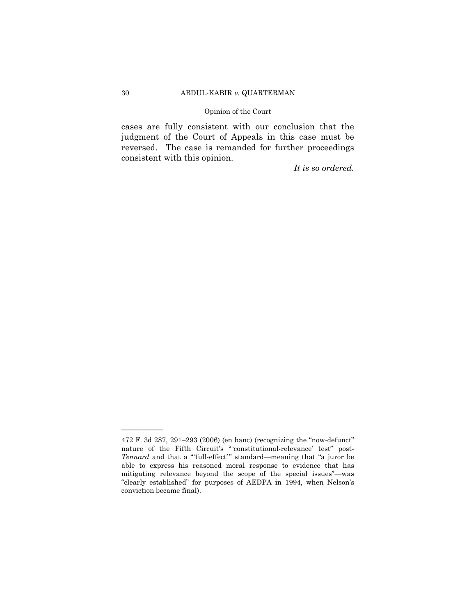cases are fully consistent with our conclusion that the judgment of the Court of Appeals in this case must be reversed. The case is remanded for further proceedings consistent with this opinion.

It is so ordered.

<sup>472</sup> F. 3d 287, 291-293 (2006) (en banc) (recognizing the "now-defunct" nature of the Fifth Circuit's "'constitutional-relevance' test" post-Tennard and that a "'full-effect'" standard—meaning that "a juror be able to express his reasoned moral response to evidence that has mitigating relevance beyond the scope of the special issues"-was "clearly established" for purposes of AEDPA in 1994, when Nelson's conviction became final).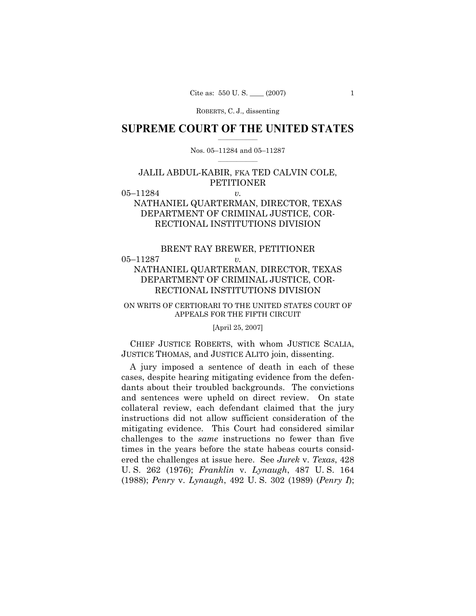### **SUPREME COURT OF THE UNITED STATES**  $\frac{1}{2}$  ,  $\frac{1}{2}$  ,  $\frac{1}{2}$  ,  $\frac{1}{2}$  ,  $\frac{1}{2}$  ,  $\frac{1}{2}$  ,  $\frac{1}{2}$

### Nos. 05-11284 and 05-11287  $\mathcal{L}=\mathcal{L}$

## JALIL ABDUL-KABIR, FKA TED CALVIN COLE, **PETITIONER**

### 05–11284 *v.*

# NATHANIEL QUARTERMAN, DIRECTOR, TEXAS DEPARTMENT OF CRIMINAL JUSTICE, COR-RECTIONAL INSTITUTIONS DIVISION

# BRENT RAY BREWER, PETITIONER  $05-11287$  *v.* NATHANIEL QUARTERMAN, DIRECTOR, TEXAS DEPARTMENT OF CRIMINAL JUSTICE, COR-RECTIONAL INSTITUTIONS DIVISION

### ON WRITS OF CERTIORARI TO THE UNITED STATES COURT OF APPEALS FOR THE FIFTH CIRCUIT

### [April 25, 2007]

 CHIEF JUSTICE ROBERTS, with whom JUSTICE SCALIA, JUSTICE THOMAS, and JUSTICE ALITO join, dissenting.

 A jury imposed a sentence of death in each of these cases, despite hearing mitigating evidence from the defendants about their troubled backgrounds. The convictions and sentences were upheld on direct review. On state collateral review, each defendant claimed that the jury instructions did not allow sufficient consideration of the mitigating evidence. This Court had considered similar challenges to the *same* instructions no fewer than five times in the years before the state habeas courts considered the challenges at issue here. See *Jurek* v. *Texas*, 428 U. S. 262 (1976); *Franklin* v. *Lynaugh*, 487 U. S. 164 (1988); *Penry* v. *Lynaugh*, 492 U. S. 302 (1989) (*Penry I*);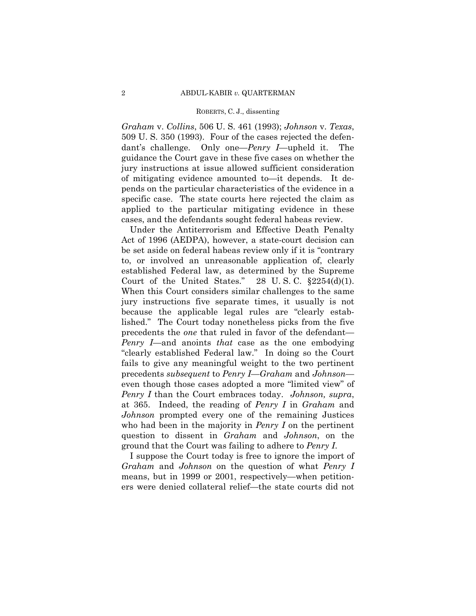Graham v. Collins, 506 U.S. 461 (1993); Johnson v. Texas, 509 U.S. 350 (1993). Four of the cases rejected the defendant's challenge. Only one—*Penry I*—upheld it. The guidance the Court gave in these five cases on whether the jury instructions at issue allowed sufficient consideration of mitigating evidence amounted to —it depends. It depends on the particular characteristics of the evidence in a specific case. The state courts here rejected the claim as applied to the particular mitigating evidence in these cases, and the defendants sought federal habeas review.

Under the Antiterrorism and Effective Death Penalty Act of 1996 (AEDPA), however, a state-court decision can be set aside on federal habeas review only if it is "contrary" to, or involved an unreasonable application of, clearly established Federal law, as determined by the Supreme Court of the United States." 28 U.S.C.  $\S2254(d)(1)$ . When this Court considers similar challenges to the same jury instructions five separate times, it usually is not because the applicable legal rules are "clearly established." The Court today nonetheless picks from the five precedents the *one* that ruled in favor of the defendant— *Penry I*—and anoints *that* case as the one embodying "clearly established Federal law." In doing so the Court fails to give any meaningful weight to the two pertinent precedents *subsequent* to *Penry I—Graham* and *Johnson* even though those cases adopted a more "limited view" of *Penry I* than the Court embraces today. *Johnson*, *supra*, at 365. Indeed, the reading of *Penry I* in *Graham* and Johnson prompted every one of the remaining Justices who had been in the majority in *Penry I* on the pertinent question to dissent in *Graham* and *Johnson*, on the ground that the Court was failing to adhere to *Penry I*.

I suppose the Court today is free to ignore the import of Graham and Johnson on the question of what Penry I means, but in 1999 or 2001, respectively—when petitioners were denied collateral relief—the state courts did not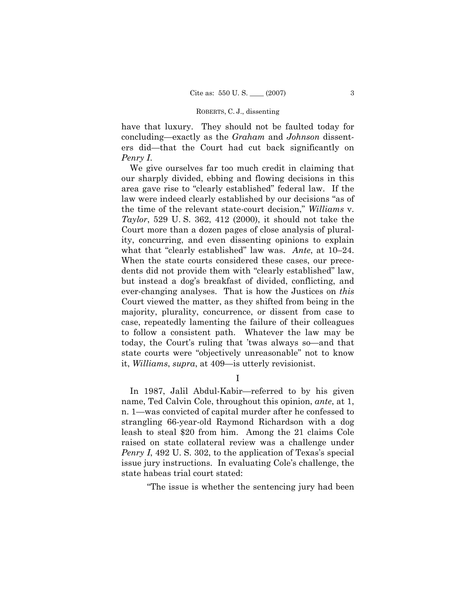have that luxury. They should not be faulted today for concluding—exactly as the *Graham* and *Johnson* dissenters did—that the Court had cut back significantly on *Penry I*.

 We give ourselves far too much credit in claiming that our sharply divided, ebbing and flowing decisions in this area gave rise to "clearly established" federal law. If the law were indeed clearly established by our decisions "as of the time of the relevant state-court decision," *Williams* v. *Taylor*, 529 U. S. 362, 412 (2000), it should not take the Court more than a dozen pages of close analysis of plurality, concurring, and even dissenting opinions to explain what that "clearly established" law was. *Ante*, at 10–24. When the state courts considered these cases, our precedents did not provide them with "clearly established" law, but instead a dogís breakfast of divided, conflicting, and ever-changing analyses. That is how the Justices on *this* Court viewed the matter, as they shifted from being in the majority, plurality, concurrence, or dissent from case to case, repeatedly lamenting the failure of their colleagues to follow a consistent path. Whatever the law may be today, the Court's ruling that 'twas always so—and that state courts were "objectively unreasonable" not to know it, *Williams*, *supra*, at 409—is utterly revisionist.

I

In 1987, Jalil Abdul-Kabir—referred to by his given name, Ted Calvin Cole, throughout this opinion, *ante*, at 1, n. 1—was convicted of capital murder after he confessed to strangling 66-year-old Raymond Richardson with a dog leash to steal \$20 from him. Among the 21 claims Cole raised on state collateral review was a challenge under *Penry I*, 492 U. S. 302, to the application of Texas's special issue jury instructions. In evaluating Cole's challenge, the state habeas trial court stated:

ìThe issue is whether the sentencing jury had been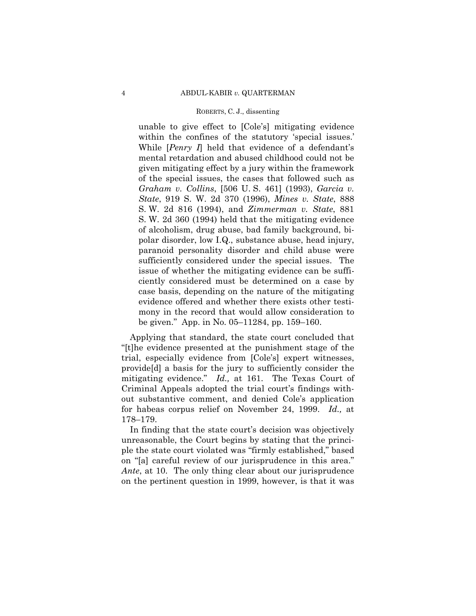unable to give effect to [Coleís] mitigating evidence within the confines of the statutory 'special issues.' While [*Penry I*] held that evidence of a defendant's mental retardation and abused childhood could not be given mitigating effect by a jury within the framework of the special issues, the cases that followed such as *Graham v. Collins*, [506 U. S. 461] (1993), *Garcia v. State*, 919 S. W. 2d 370 (1996), *Mines v. State*, 888 S. W. 2d 816 (1994), and *Zimmerman v. State*, 881 S. W. 2d 360 (1994) held that the mitigating evidence of alcoholism, drug abuse, bad family background, bipolar disorder, low I.Q., substance abuse, head injury, paranoid personality disorder and child abuse were sufficiently considered under the special issues. The issue of whether the mitigating evidence can be sufficiently considered must be determined on a case by case basis, depending on the nature of the mitigating evidence offered and whether there exists other testimony in the record that would allow consideration to be given." App. in No.  $05-11284$ , pp. 159–160.

 Applying that standard, the state court concluded that ì[t]he evidence presented at the punishment stage of the trial, especially evidence from [Coleís] expert witnesses, provide[d] a basis for the jury to sufficiently consider the mitigating evidence.î *Id.,* at 161. The Texas Court of Criminal Appeals adopted the trial court's findings without substantive comment, and denied Coleís application for habeas corpus relief on November 24, 1999. *Id.,* at 178-179.

In finding that the state court's decision was objectively unreasonable, the Court begins by stating that the principle the state court violated was "firmly established," based on "[a] careful review of our jurisprudence in this area." *Ante*, at 10. The only thing clear about our jurisprudence on the pertinent question in 1999, however, is that it was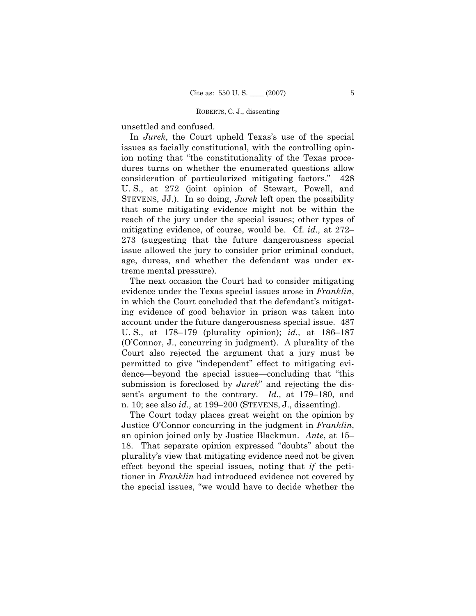unsettled and confused.

In *Jurek*, the Court upheld Texas's use of the special issues as facially constitutional, with the controlling opinion noting that "the constitutionality of the Texas procedures turns on whether the enumerated questions allow consideration of particularized mitigating factors.<sup>n</sup> 428 U. S., at 272 (joint opinion of Stewart, Powell, and STEVENS, JJ.). In so doing, *Jurek* left open the possibility that some mitigating evidence might not be within the reach of the jury under the special issues; other types of mitigating evidence, of course, would be. Cf. *id.*, at 272– 273 (suggesting that the future dangerousness special issue allowed the jury to consider prior criminal conduct, age, duress, and whether the defendant was under extreme mental pressure).

 The next occasion the Court had to consider mitigating evidence under the Texas special issues arose in *Franklin*, in which the Court concluded that the defendant's mitigating evidence of good behavior in prison was taken into account under the future dangerousness special issue. 487 U. S., at 178-179 (plurality opinion); *id.*, at 186-187  $(O'Connor, J., concurring in judgment).$  A plurality of the Court also rejected the argument that a jury must be permitted to give "independent" effect to mitigating evidence—beyond the special issues—concluding that "this submission is foreclosed by *Jurek*<sup>n</sup> and rejecting the dissent's argument to the contrary. *Id.*, at 179–180, and n. 10; see also  $id$ , at 199–200 (STEVENS, J., dissenting).

 The Court today places great weight on the opinion by Justice O'Connor concurring in the judgment in *Franklin*, an opinion joined only by Justice Blackmun. *Ante*, at 15– 18. That separate opinion expressed "doubts" about the pluralityís view that mitigating evidence need not be given effect beyond the special issues, noting that *if* the petitioner in *Franklin* had introduced evidence not covered by the special issues, "we would have to decide whether the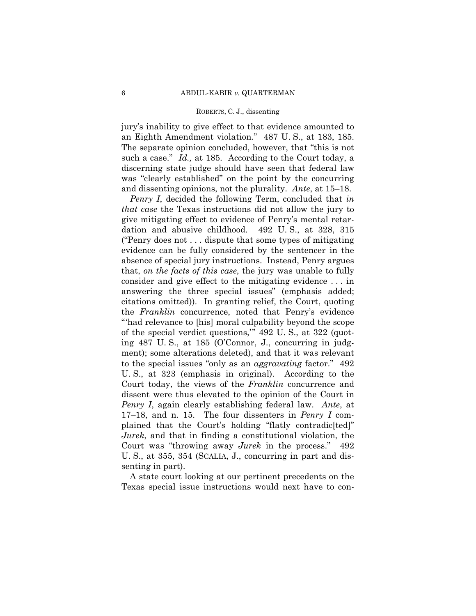juryís inability to give effect to that evidence amounted to an Eighth Amendment violation." 487 U.S., at 183, 185. The separate opinion concluded, however, that "this is not such a case." *Id.*, at 185. According to the Court today, a discerning state judge should have seen that federal law was "clearly established" on the point by the concurring and dissenting opinions, not the plurality. *Ante*, at 15–18.

 *Penry I*, decided the following Term, concluded that *in that case* the Texas instructions did not allow the jury to give mitigating effect to evidence of Penryís mental retardation and abusive childhood. 492 U. S., at 328, 315 ( $P$ enry does not ... dispute that some types of mitigating evidence can be fully considered by the sentencer in the absence of special jury instructions. Instead, Penry argues that, *on the facts of this case*, the jury was unable to fully consider and give effect to the mitigating evidence . . . in answering the three special issues" (emphasis added; citations omitted)). In granting relief, the Court, quoting the *Franklin* concurrence, noted that Penryís evidence ìëhad relevance to [his] moral culpability beyond the scope of the special verdict questions,"  $492$  U. S., at  $322$  (quoting  $487$  U.S., at  $185$  (O'Connor, J., concurring in judgment); some alterations deleted), and that it was relevant to the special issues "only as an *aggravating* factor." 492 U. S., at 323 (emphasis in original). According to the Court today, the views of the *Franklin* concurrence and dissent were thus elevated to the opinion of the Court in *Penry I*, again clearly establishing federal law. *Ante*, at 17–18, and n. 15. The four dissenters in *Penry I* complained that the Court's holding "flatly contradic[ted]" *Jurek*, and that in finding a constitutional violation, the Court was "throwing away *Jurek* in the process." 492 U. S., at 355, 354 (SCALIA, J., concurring in part and dissenting in part).

 A state court looking at our pertinent precedents on the Texas special issue instructions would next have to con-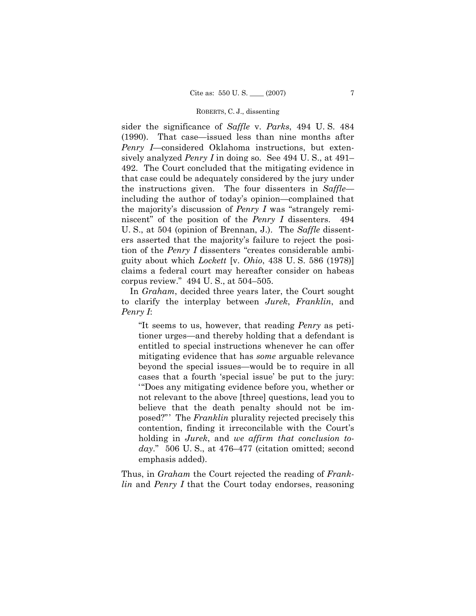sider the significance of *Saffle* v. *Parks*, 494 U.S. 484 (1990). That case—issued less than nine months after *Penry I*—considered Oklahoma instructions, but extensively analyzed *Penry I* in doing so. See 494 U.S., at  $491-$ 492. The Court concluded that the mitigating evidence in that case could be adequately considered by the jury under the instructions given. The four dissenters in Saffleincluding the author of today's opinion—complained that the majority's discussion of *Penry I* was "strangely reminiscent" of the position of the *Penry I* dissenters. -494 U.S., at 504 (opinion of Brennan, J.). The Saffle dissenters asserted that the majority's failure to reject the position of the *Penry I* dissenters "creates considerable ambiguity about which *Lockett* [v.  $Ohio$ , 438 U.S. 586 (1978)] claims a federal court may hereafter consider on habeas corpus review." 494 U.S., at 504–505.

In *Graham*, decided three years later, the Court sought to clarify the interplay between Jurek, Franklin, and Penry I:

"It seems to us, however, that reading *Penry* as petitioner urges—and thereby holding that a defendant is entitled to special instructions whenever he can offer mitigating evidence that has *some* arguable relevance beyond the special issues—would be to require in all cases that a fourth 'special issue' be put to the jury: "Does any mitigating evidence before you, whether or not relevant to the above [three] questions, lead you to believe that the death penalty should not be imposed?" The Franklin plurality rejected precisely this contention, finding it irreconcilable with the Court's holding in Jurek, and we affirm that conclusion to $day$ ." 506 U.S., at 476–477 (citation omitted; second emphasis added).

Thus, in *Graham* the Court rejected the reading of *Franklin* and *Penry I* that the Court today endorses, reasoning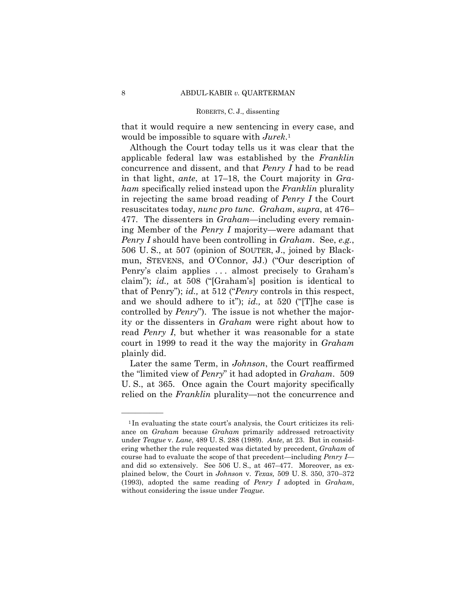that it would require a new sentencing in every case, and would be impossible to square with *Jurek*.1

 Although the Court today tells us it was clear that the applicable federal law was established by the *Franklin* concurrence and dissent, and that *Penry I* had to be read in that light, *ante*, at 17–18, the Court majority in *Graham* specifically relied instead upon the *Franklin* plurality in rejecting the same broad reading of *Penry I* the Court resuscitates today, *nunc pro tunc. Graham*, *supra*, at 476– 477. The dissenters in *Graham*—including every remaining Member of the *Penry I* majority—were adamant that *Penry I* should have been controlling in *Graham*. See, *e.g.*, 506 U. S., at 507 (opinion of SOUTER, J., joined by Blackmun, STEVENS, and O'Connor, JJ.) ("Our description of Penry's claim applies ... almost precisely to Graham's claim"); *id.*, at 508 ("[Graham's] position is identical to that of Penry"); *id.*, at 512 ("Penry controls in this respect, and we should adhere to it"); *id.*, at 520 ("The case is controlled by *Penry*î). The issue is not whether the majority or the dissenters in *Graham* were right about how to read *Penry I*, but whether it was reasonable for a state court in 1999 to read it the way the majority in *Graham* plainly did.

 Later the same Term, in *Johnson*, the Court reaffirmed the "limited view of *Penry*" it had adopted in *Graham*. 509 U. S., at 365. Once again the Court majority specifically relied on the *Franklin* plurality—not the concurrence and

 $1$ In evaluating the state court's analysis, the Court criticizes its reliance on *Graham* because *Graham* primarily addressed retroactivity under *Teague* v. *Lane*, 489 U. S. 288 (1989). *Ante*, at 23. But in considering whether the rule requested was dictated by precedent, *Graham* of course had to evaluate the scope of that precedent—including *Penry I* and did so extensively. See  $506$  U.S., at  $467-477$ . Moreover, as explained below, the Court in *Johnson* v. *Texas*, 509 U. S. 350, 370–372 (1993), adopted the same reading of *Penry I* adopted in *Graham*, without considering the issue under *Teague*.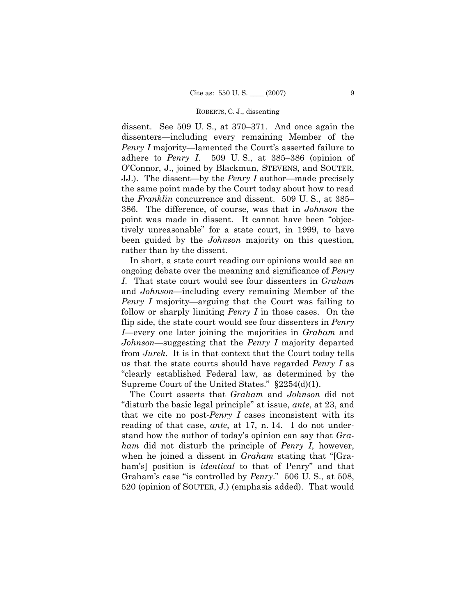dissent. See 509 U.S., at 370-371. And once again the dissenters—including every remaining Member of the *Penry I* majority—lamented the Court's asserted failure to adhere to *Penry I.* 509 U.S., at  $385-386$  (opinion of O'Connor, J., joined by Blackmun, STEVENS, and SOUTER, J. The dissent—by the *Penry I* author—made precisely the same point made by the Court today about how to read the *Franklin* concurrence and dissent. 509 U.S., at 385– 386. The difference, of course, was that in *Johnson* the point was made in dissent. It cannot have been "objectively unreasonable" for a state court, in 1999, to have been guided by the *Johnson* majority on this question, rather than by the dissent.

In short, a state court reading our opinions would see an ongoing debate over the meaning and significance of *Penry* I. That state court would see four dissenters in Graham and *Johnson*—including every remaining Member of the *Penry I* majority—arguing that the Court was failing to follow or sharply limiting *Penry I* in those cases. On the flip side, the state court would see four dissenters in *Penry* I—every one later joining the majorities in *Graham* and Johnson—suggesting that the Penry I majority departed from Jurek. It is in that context that the Court today tells us that the state courts should have regarded *Penry I* as "clearly established Federal law, as determined by the Supreme Court of the United States."  $\S 2254(d)(1)$ .

The Court asserts that *Graham* and *Johnson* did not "disturb the basic legal principle" at issue, *ante*, at 23, and that we cite no post-*Penry I* cases inconsistent with its reading of that case, *ante*, at 17, n. 14. I do not understand how the author of today's opinion can say that Graham did not disturb the principle of *Penry I*, however, when he joined a dissent in *Graham* stating that "[Graham's position is *identical* to that of Penry" and that Graham's case "is controlled by *Penry*." 506 U.S., at 508, 520 (opinion of SOUTER, J.) (emphasis added). That would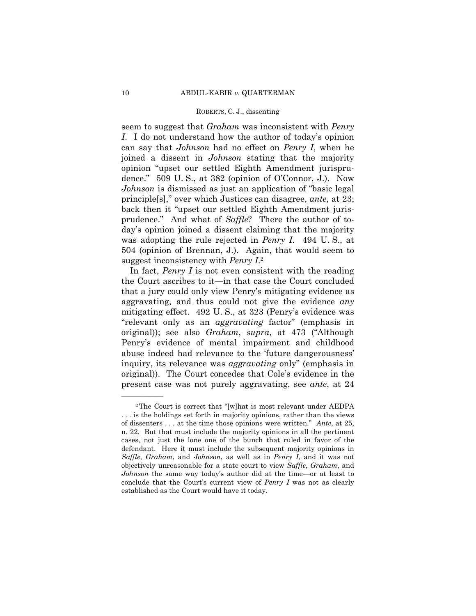seem to suggest that *Graham* was inconsistent with *Penry I*. I do not understand how the author of today's opinion can say that *Johnson* had no effect on *Penry I*, when he joined a dissent in *Johnson* stating that the majority opinion "upset our settled Eighth Amendment jurisprudence." 509 U.S., at  $382$  (opinion of O'Connor, J.). Now *Johnson* is dismissed as just an application of "basic legal" principle<sup>[s]</sup>," over which Justices can disagree, *ante*, at 23; back then it "upset our settled Eighth Amendment jurisprudence.î And what of *Saffle*? There the author of todayís opinion joined a dissent claiming that the majority was adopting the rule rejected in *Penry I*. 494 U. S., at 504 (opinion of Brennan, J.). Again, that would seem to suggest inconsistency with *Penry I*.2

 In fact, *Penry I* is not even consistent with the reading the Court ascribes to it—in that case the Court concluded that a jury could only view Penryís mitigating evidence as aggravating, and thus could not give the evidence *any* mitigating effect. 492 U. S., at 323 (Penryís evidence was ìrelevant only as an *aggravating* factorî (emphasis in original)); see also *Graham*, *supra*, at 473 ("Although Penryís evidence of mental impairment and childhood abuse indeed had relevance to the 'future dangerousness' inquiry, its relevance was *aggravating* only" (emphasis in original)). The Court concedes that Coleís evidence in the present case was not purely aggravating, see *ante*, at 24

 $2$ The Court is correct that "[w]hat is most relevant under AEDPA . . . is the holdings set forth in majority opinions, rather than the views of dissenters . . . at the time those opinions were written.î *Ante*, at 25, n. 22. But that must include the majority opinions in all the pertinent cases, not just the lone one of the bunch that ruled in favor of the defendant. Here it must include the subsequent majority opinions in *Saffle*, *Graham*, and *Johnson*, as well as in *Penry I*, and it was not objectively unreasonable for a state court to view *Saffle*, *Graham*, and *Johnson* the same way today's author did at the time or at least to conclude that the Court's current view of *Penry I* was not as clearly established as the Court would have it today.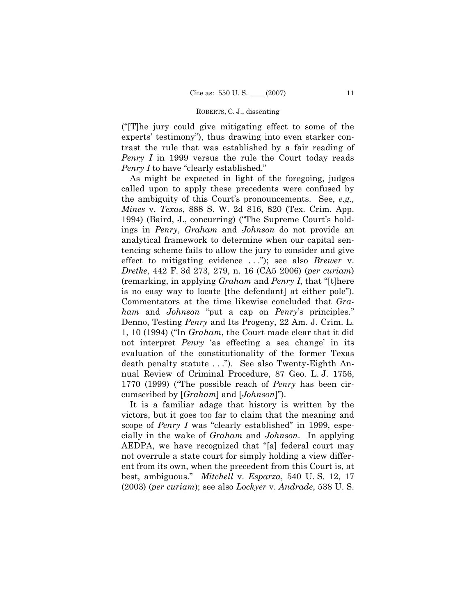("The jury could give mitigating effect to some of the experts' testimony"), thus drawing into even starker contrast the rule that was established by a fair reading of Penry I in 1999 versus the rule the Court today reads Penry I to have "clearly established."

As might be expected in light of the foregoing, judges called upon to apply these precedents were confused by the ambiguity of this Court's pronouncements. See, e.g., Mines v. Texas, 888 S. W. 2d 816, 820 (Tex. Crim. App. 1994) (Baird, J., concurring) ("The Supreme Court's holdings in *Penry*, *Graham* and *Johnson* do not provide an analytical framework to determine when our capital sentencing scheme fails to allow the jury to consider and give effect to mitigating evidence ..."); see also Brewer v. Dretke, 442 F. 3d 273, 279, n. 16 (CA5 2006) (per curiam) (remarking, in applying *Graham* and *Penry I*, that "[t] here is no easy way to locate [the defendant] at either pole"). Commentators at the time likewise concluded that Graham and Johnson "put a cap on Penry's principles." Denno, Testing *Penry* and Its Progeny, 22 Am. J. Crim. L. 1, 10 (1994) ("In *Graham*, the Court made clear that it did not interpret *Penry* 'as effecting a sea change' in its evaluation of the constitutionality of the former Texas death penalty statute ..."). See also Twenty-Eighth Annual Review of Criminal Procedure, 87 Geo. L. J. 1756, 1770 (1999) ("The possible reach of *Penry* has been circumscribed by [*Graham*] and [*Johnson*]").

It is a familiar adage that history is written by the victors, but it goes too far to claim that the meaning and scope of *Penry I* was "clearly established" in 1999, especially in the wake of *Graham* and *Johnson*. In applying AEDPA, we have recognized that "[a] federal court may not overrule a state court for simply holding a view different from its own, when the precedent from this Court is, at best, ambiguous." Mitchell v. Esparza, 540 U.S. 12, 17 (2003) (per curiam); see also Lockyer v. Andrade, 538 U.S.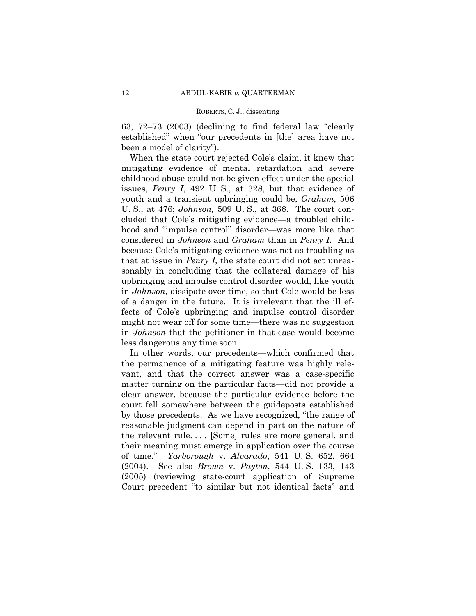63, 72–73 (2003) (declining to find federal law "clearly established" when "our precedents in [the] area have not been a model of clarity").

When the state court rejected Cole's claim, it knew that mitigating evidence of mental retardation and severe childhood abuse could not be given effect under the special issues, *Penry I*, 492 U. S., at 328, but that evidence of youth and a transient upbringing could be, *Graham,* 506 U. S., at 476; *Johnson,* 509 U. S., at 368. The court concluded that Cole's mitigating evidence—a troubled childhood and "impulse control" disorder—was more like that considered in *Johnson* and *Graham* than in *Penry I*. And because Coleís mitigating evidence was not as troubling as that at issue in *Penry I*, the state court did not act unreasonably in concluding that the collateral damage of his upbringing and impulse control disorder would, like youth in *Johnson*, dissipate over time, so that Cole would be less of a danger in the future. It is irrelevant that the ill effects of Coleís upbringing and impulse control disorder might not wear off for some time—there was no suggestion in *Johnson* that the petitioner in that case would become less dangerous any time soon.

In other words, our precedents—which confirmed that the permanence of a mitigating feature was highly relevant, and that the correct answer was a case-specific matter turning on the particular facts—did not provide a clear answer, because the particular evidence before the court fell somewhere between the guideposts established by those precedents. As we have recognized, "the range of reasonable judgment can depend in part on the nature of the relevant rule. . . . [Some] rules are more general, and their meaning must emerge in application over the course of time.î *Yarborough* v. *Alvarado*, 541 U. S. 652, 664 (2004). See also *Brown* v. *Payton*, 544 U. S. 133, 143 (2005) (reviewing state-court application of Supreme Court precedent "to similar but not identical facts" and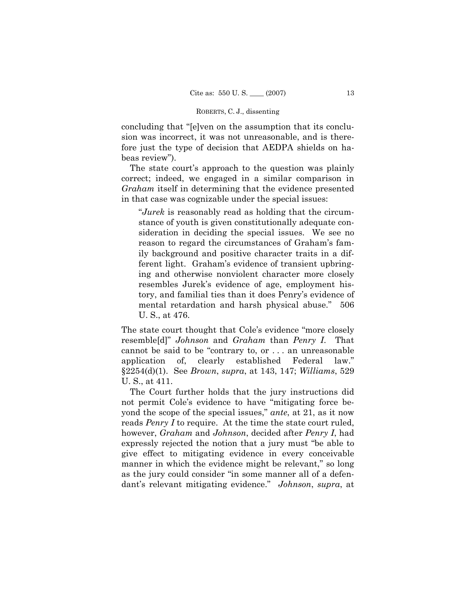concluding that "[e]ven on the assumption that its conclusion was incorrect, it was not unreasonable, and is therefore just the type of decision that AEDPA shields on habeas review").

The state court's approach to the question was plainly correct; indeed, we engaged in a similar comparison in *Graham* itself in determining that the evidence presented in that case was cognizable under the special issues:

"Jurek is reasonably read as holding that the circumstance of youth is given constitutionally adequate consideration in deciding the special issues. We see no reason to regard the circumstances of Graham's family background and positive character traits in a different light. Graham's evidence of transient upbringing and otherwise nonviolent character more closely resembles Jurek's evidence of age, employment history, and familial ties than it does Penry's evidence of mental retardation and harsh physical abuse." 506 U.S., at 476.

The state court thought that Cole's evidence "more closely" resemble [d]" *Johnson* and *Graham* than *Penry I.* That cannot be said to be "contrary to, or ... an unreasonable application of. clearly established Federal law."  $\S2254(d)(1)$ . See Brown, supra, at 143, 147; Williams, 529 U.S., at 411.

The Court further holds that the jury instructions did not permit Cole's evidence to have "mitigating force beyond the scope of the special issues," ante, at 21, as it now reads *Penry I* to require. At the time the state court ruled, however, *Graham* and *Johnson*, decided after *Penry I*, had expressly rejected the notion that a jury must "be able to give effect to mitigating evidence in every conceivable manner in which the evidence might be relevant," so long as the jury could consider "in some manner all of a defendant's relevant mitigating evidence." Johnson, supra, at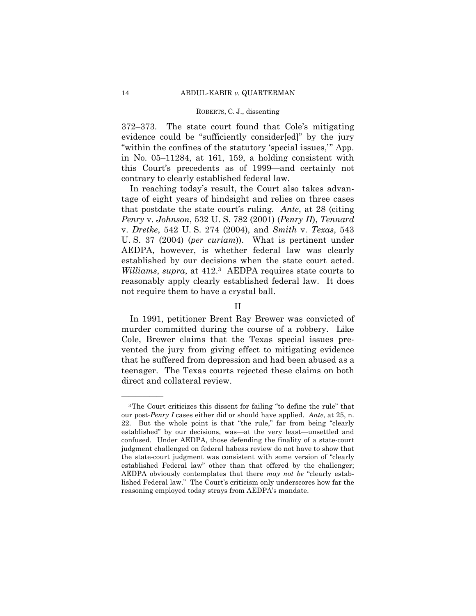$372-373$ . The state court found that Cole's mitigating evidence could be "sufficiently consider[ed]" by the jury "within the confines of the statutory 'special issues," App. in No.  $05-11284$ , at 161, 159, a holding consistent with this Court's precedents as of 1999—and certainly not contrary to clearly established federal law.

In reaching today's result, the Court also takes advantage of eight years of hindsight and relies on three cases that postdate the state court's ruling. *Ante*, at 28 (citing *Penry* v. *Johnson*, 532 U. S. 782 (2001) (*Penry II*), *Tennard* v. *Dretke*, 542 U. S. 274 (2004), and *Smith* v. *Texas*, 543 U. S. 37 (2004) (*per curiam*)). What is pertinent under AEDPA, however, is whether federal law was clearly established by our decisions when the state court acted. *Williams*, *supra*, at 412.3 AEDPA requires state courts to reasonably apply clearly established federal law. It does not require them to have a crystal ball.

### II

 In 1991, petitioner Brent Ray Brewer was convicted of murder committed during the course of a robbery. Like Cole, Brewer claims that the Texas special issues prevented the jury from giving effect to mitigating evidence that he suffered from depression and had been abused as a teenager. The Texas courts rejected these claims on both direct and collateral review.

<sup>&</sup>lt;sup>3</sup>The Court criticizes this dissent for failing "to define the rule" that our post-*Penry I* cases either did or should have applied. *Ante*, at 25, n. 22. But the whole point is that "the rule," far from being "clearly established" by our decisions, was—at the very least—unsettled and confused. Under AEDPA, those defending the finality of a state-court judgment challenged on federal habeas review do not have to show that the state-court judgment was consistent with some version of "clearly established Federal law" other than that offered by the challenger; AEDPA obviously contemplates that there *may not be* "clearly established Federal law." The Court's criticism only underscores how far the reasoning employed today strays from AEDPA's mandate.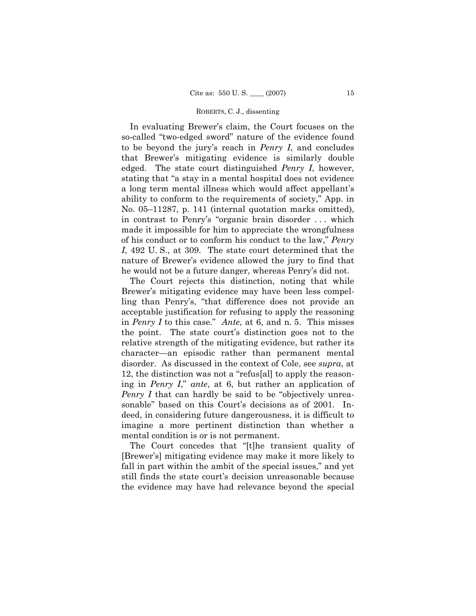In evaluating Brewer's claim, the Court focuses on the so-called "two-edged sword" nature of the evidence found to be beyond the juryís reach in *Penry I*, and concludes that Brewerís mitigating evidence is similarly double edged. The state court distinguished *Penry I*, however, stating that "a stay in a mental hospital does not evidence a long term mental illness which would affect appellant's ability to conform to the requirements of society," App. in No. 05 $-11287$ , p. 141 (internal quotation marks omitted), in contrast to Penry's "organic brain disorder ... which made it impossible for him to appreciate the wrongfulness of his conduct or to conform his conduct to the law,î *Penry I*, 492 U. S., at 309. The state court determined that the nature of Brewer's evidence allowed the jury to find that he would not be a future danger, whereas Penryís did not.

 The Court rejects this distinction, noting that while Brewer's mitigating evidence may have been less compelling than Penry's, "that difference does not provide an acceptable justification for refusing to apply the reasoning in *Penry I* to this case." *Ante*, at 6, and n. 5. This misses the point. The state court's distinction goes not to the relative strength of the mitigating evidence, but rather its character—an episodic rather than permanent mental disorder. As discussed in the context of Cole, see *supra*, at 12, the distinction was not a "refus[al] to apply the reasoning in *Penry I*," ante, at 6, but rather an application of *Penry I* that can hardly be said to be "objectively unreasonable" based on this Court's decisions as of 2001. Indeed, in considering future dangerousness, it is difficult to imagine a more pertinent distinction than whether a mental condition is or is not permanent.

The Court concedes that "[t]he transient quality of [Brewerís] mitigating evidence may make it more likely to fall in part within the ambit of the special issues," and yet still finds the state court's decision unreasonable because the evidence may have had relevance beyond the special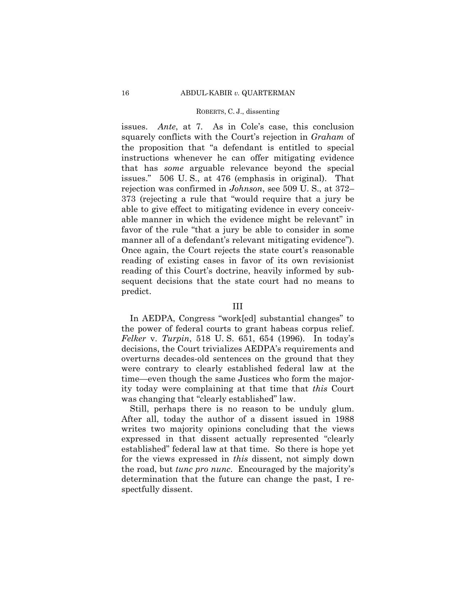issues. *Ante*, at 7. As in Cole's case, this conclusion squarely conflicts with the Court's rejection in *Graham* of the proposition that "a defendant is entitled to special instructions whenever he can offer mitigating evidence that has *some* arguable relevance beyond the special issues." 506 U.S., at 476 (emphasis in original). That rejection was confirmed in *Johnson*, see 509 U.S., at 372– 373 (rejecting a rule that "would require that a jury be able to give effect to mitigating evidence in every conceivable manner in which the evidence might be relevant" in favor of the rule "that a jury be able to consider in some manner all of a defendant's relevant mitigating evidence". Once again, the Court rejects the state court's reasonable reading of existing cases in favor of its own revisionist reading of this Court's doctrine, heavily informed by subsequent decisions that the state court had no means to predict.

### III

In AEDPA, Congress "work[ed] substantial changes" to the power of federal courts to grant habeas corpus relief. *Felker* v. *Turpin*, 518 U. S. 651, 654 (1996). In todayís decisions, the Court trivializes AEDPA's requirements and overturns decades-old sentences on the ground that they were contrary to clearly established federal law at the time—even though the same Justices who form the majority today were complaining at that time that *this* Court was changing that "clearly established" law.

 Still, perhaps there is no reason to be unduly glum. After all, today the author of a dissent issued in 1988 writes two majority opinions concluding that the views expressed in that dissent actually represented "clearly establishedî federal law at that time. So there is hope yet for the views expressed in *this* dissent, not simply down the road, but *tunc pro nunc*. Encouraged by the majorityís determination that the future can change the past, I respectfully dissent.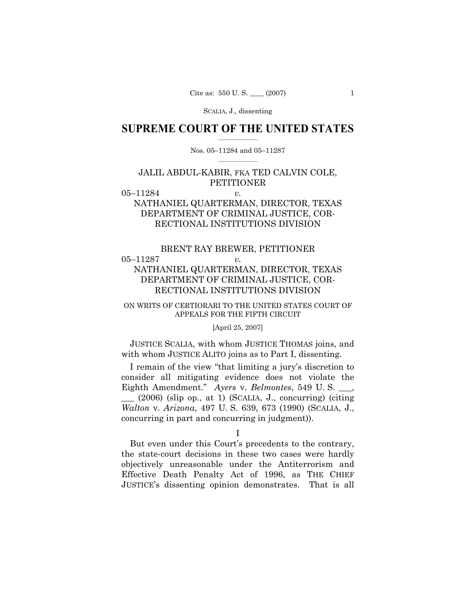### **SUPREME COURT OF THE UNITED STATES**  $\frac{1}{2}$  ,  $\frac{1}{2}$  ,  $\frac{1}{2}$  ,  $\frac{1}{2}$  ,  $\frac{1}{2}$  ,  $\frac{1}{2}$  ,  $\frac{1}{2}$

### Nos. 05-11284 and 05-11287  $\mathcal{L}=\mathcal{L}$

## JALIL ABDUL-KABIR, FKA TED CALVIN COLE, **PETITIONER**

### 05–11284 *v.*

# NATHANIEL QUARTERMAN, DIRECTOR, TEXAS DEPARTMENT OF CRIMINAL JUSTICE, COR-RECTIONAL INSTITUTIONS DIVISION

# BRENT RAY BREWER, PETITIONER 05–11287 *v.* NATHANIEL QUARTERMAN, DIRECTOR, TEXAS DEPARTMENT OF CRIMINAL JUSTICE, COR-RECTIONAL INSTITUTIONS DIVISION

### ON WRITS OF CERTIORARI TO THE UNITED STATES COURT OF APPEALS FOR THE FIFTH CIRCUIT

### [April 25, 2007]

 JUSTICE SCALIA, with whom JUSTICE THOMAS joins, and with whom JUSTICE ALITO joins as to Part I, dissenting.

I remain of the view "that limiting a jury's discretion to consider all mitigating evidence does not violate the Eighth Amendment.<sup>"</sup> *Ayers* v. *Belmontes*, 549 U.S.  $\Box$  (2006) (slip op., at 1) (SCALIA, J., concurring) (citing *Walton* v. *Arizona*, 497 U. S. 639, 673 (1990) (SCALIA, J., concurring in part and concurring in judgment)).

I

But even under this Court's precedents to the contrary, the state-court decisions in these two cases were hardly objectively unreasonable under the Antiterrorism and Effective Death Penalty Act of 1996, as THE CHIEF JUSTICEís dissenting opinion demonstrates. That is all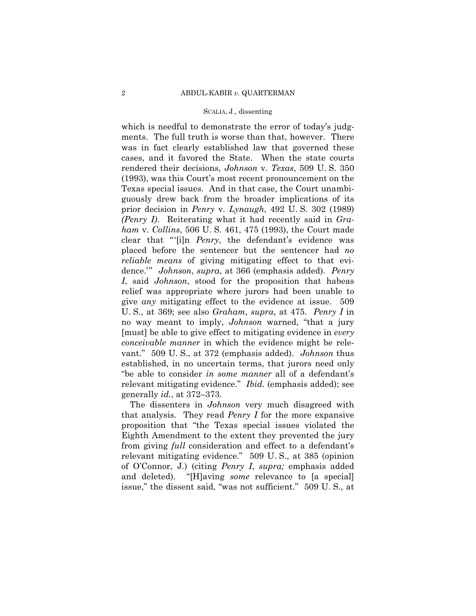which is needful to demonstrate the error of today's judgments. The full truth is worse than that, however. There was in fact clearly established law that governed these cases, and it favored the State. When the state courts rendered their decisions, *Johnson* v. *Texas*, 509 U. S. 350 (1993), was this Court's most recent pronouncement on the Texas special issues. And in that case, the Court unambiguously drew back from the broader implications of its prior decision in *Penry* v. *Lynaugh*, 492 U. S. 302 (1989) *(Penry I)*. Reiterating what it had recently said in *Graham* v. *Collins*, 506 U. S. 461, 475 (1993), the Court made clear that "'[i]n *Penry*, the defendant's evidence was placed before the sentencer but the sentencer had *no reliable means* of giving mitigating effect to that evidence.<sup>79</sup> *Johnson*, *supra*, at 366 (emphasis added). *Penry I*, said *Johnson*, stood for the proposition that habeas relief was appropriate where jurors had been unable to give *any* mitigating effect to the evidence at issue. 509 U. S., at 369; see also *Graham*, *supra*, at 475. *Penry I* in no way meant to imply, *Johnson* warned, "that a jury [must] be able to give effect to mitigating evidence in *every conceivable manner* in which the evidence might be relevant.î 509 U. S., at 372 (emphasis added). *Johnson* thus established, in no uncertain terms, that jurors need only "be able to consider *in some manner* all of a defendant's relevant mitigating evidence." *Ibid.* (emphasis added); see generally *id.*, at 372-373.

 The dissenters in *Johnson* very much disagreed with that analysis. They read *Penry I* for the more expansive proposition that "the Texas special issues violated the Eighth Amendment to the extent they prevented the jury from giving *full* consideration and effect to a defendant's relevant mitigating evidence." 509 U.S., at 385 (opinion of OíConnor, J.) (citing *Penry I*, *supra;* emphasis added and deleted). "[H]aving *some* relevance to [a special] issue," the dissent said, "was not sufficient."  $509 \text{ U}$ . S., at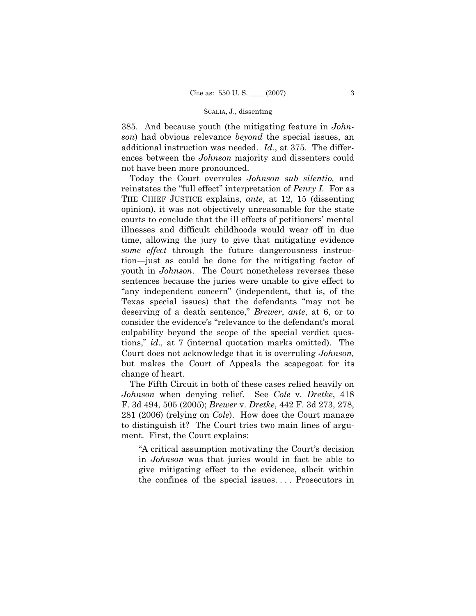385. And because youth (the mitigating feature in *Johnson*) had obvious relevance *beyond* the special issues, an additional instruction was needed. *Id.*, at 375. The differences between the *Johnson* majority and dissenters could not have been more pronounced.

 Today the Court overrules *Johnson sub silentio,* and reinstates the "full effect" interpretation of *Penry I.* For as THE CHIEF JUSTICE explains, *ante*, at 12, 15 (dissenting opinion), it was not objectively unreasonable for the state courts to conclude that the ill effects of petitioners' mental illnesses and difficult childhoods would wear off in due time, allowing the jury to give that mitigating evidence *some effect* through the future dangerousness instruction—just as could be done for the mitigating factor of youth in *Johnson*. The Court nonetheless reverses these sentences because the juries were unable to give effect to "any independent concern" (independent, that is, of the Texas special issues) that the defendants "may not be deserving of a death sentence," *Brewer*, ante, at 6, or to consider the evidence's "relevance to the defendant's moral culpability beyond the scope of the special verdict questions," *id.*, at 7 (internal quotation marks omitted). The Court does not acknowledge that it is overruling *Johnson,*  but makes the Court of Appeals the scapegoat for its change of heart.

 The Fifth Circuit in both of these cases relied heavily on *Johnson* when denying relief. See *Cole* v. *Dretke*, 418 F. 3d 494, 505 (2005); *Brewer* v. *Dretke*, 442 F. 3d 273, 278, 281 (2006) (relying on *Cole*). How does the Court manage to distinguish it? The Court tries two main lines of argument. First, the Court explains:

"A critical assumption motivating the Court's decision in *Johnson* was that juries would in fact be able to give mitigating effect to the evidence, albeit within the confines of the special issues. . . . Prosecutors in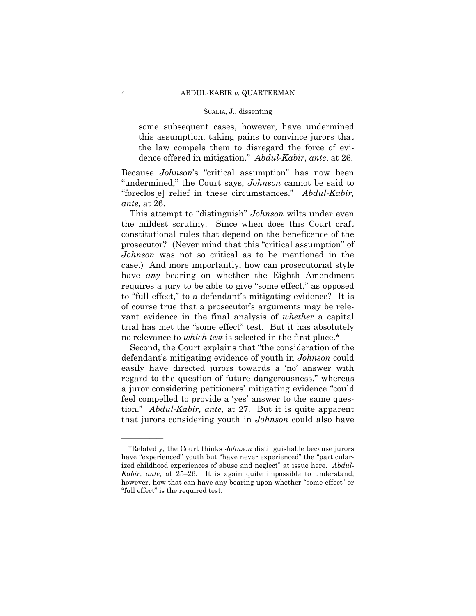some subsequent cases, however, have undermined this assumption, taking pains to convince jurors that the law compels them to disregard the force of evidence offered in mitigation.î *Abdul-Kabir*, *ante*, at 26.

Because *Johnson*'s "critical assumption" has now been "undermined," the Court says, *Johnson* cannot be said to ìforeclos[e] relief in these circumstances.î *Abdul-Kabir, ante,* at 26.

This attempt to "distinguish" *Johnson* wilts under even the mildest scrutiny. Since when does this Court craft constitutional rules that depend on the beneficence of the prosecutor? (Never mind that this "critical assumption" of *Johnson* was not so critical as to be mentioned in the case.) And more importantly, how can prosecutorial style have *any* bearing on whether the Eighth Amendment requires a jury to be able to give "some effect," as opposed to "full effect," to a defendant's mitigating evidence? It is of course true that a prosecutor's arguments may be relevant evidence in the final analysis of *whether* a capital trial has met the "some effect" test. But it has absolutely no relevance to *which test* is selected in the first place.\*

Second, the Court explains that "the consideration of the defendant's mitigating evidence of youth in *Johnson* could easily have directed jurors towards a 'no' answer with regard to the question of future dangerousness," whereas a juror considering petitioners' mitigating evidence "could feel compelled to provide a 'yes' answer to the same question.î *Abdul-Kabir, ante,* at 27. But it is quite apparent that jurors considering youth in *Johnson* could also have

<sup>\*</sup>Relatedly, the Court thinks *Johnson* distinguishable because jurors have "experienced" youth but "have never experienced" the "particularized childhood experiences of abuse and neglect" at issue here. *Abdul*-*Kabir*, *ante*, at 25–26. It is again quite impossible to understand, however, how that can have any bearing upon whether "some effect" or "full effect" is the required test.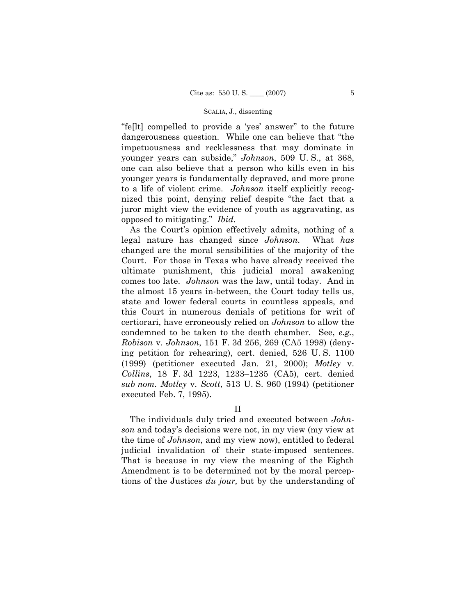"fellt] compelled to provide a 'yes' answer" to the future dangerousness question. While one can believe that "the impetuousness and recklessness that may dominate in younger years can subside," *Johnson*, 509 U.S., at 368, one can also believe that a person who kills even in his younger years is fundamentally depraved, and more prone to a life of violent crime. *Johnson* itself explicitly recognized this point, denying relief despite "the fact that a juror might view the evidence of youth as aggravating, as opposed to mitigating.î *Ibid.*

As the Court's opinion effectively admits, nothing of a legal nature has changed since *Johnson*. What *has* changed are the moral sensibilities of the majority of the Court. For those in Texas who have already received the ultimate punishment, this judicial moral awakening comes too late. *Johnson* was the law, until today. And in the almost 15 years in-between, the Court today tells us, state and lower federal courts in countless appeals, and this Court in numerous denials of petitions for writ of certiorari, have erroneously relied on *Johnson* to allow the condemned to be taken to the death chamber. See, *e.g.*, *Robison* v. *Johnson*, 151 F. 3d 256, 269 (CA5 1998) (denying petition for rehearing), cert. denied, 526 U. S. 1100 (1999) (petitioner executed Jan. 21, 2000); *Motley* v. *Collins*, 18 F. 3d 1223, 1233–1235 (CA5), cert. denied *sub nom. Motley* v. *Scott*, 513 U. S. 960 (1994) (petitioner executed Feb. 7, 1995).

II

 The individuals duly tried and executed between *Johnson* and todayís decisions were not, in my view (my view at the time of *Johnson*, and my view now), entitled to federal judicial invalidation of their state-imposed sentences. That is because in my view the meaning of the Eighth Amendment is to be determined not by the moral perceptions of the Justices *du jour,* but by the understanding of